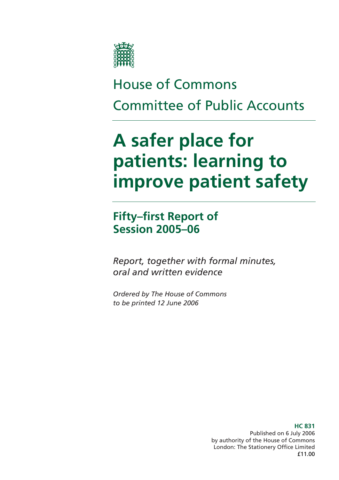

# House of Commons Committee of Public Accounts

# **A safer place for patients: learning to improve patient safety**

**Fifty–first Report of Session 2005–06** 

*Report, together with formal minutes, oral and written evidence* 

*Ordered by The House of Commons to be printed 12 June 2006* 

> Published on 6 July 2006 by authority of the House of Commons London: The Stationery Office Limited £11.00

### **HC 831**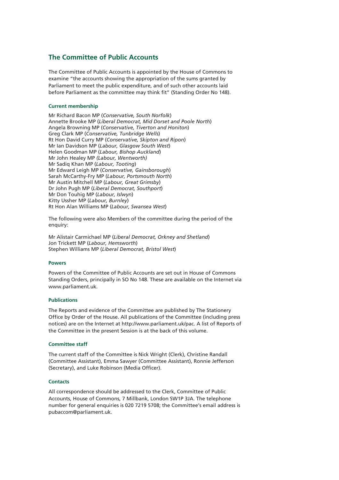### **The Committee of Public Accounts**

The Committee of Public Accounts is appointed by the House of Commons to examine "the accounts showing the appropriation of the sums granted by Parliament to meet the public expenditure, and of such other accounts laid before Parliament as the committee may think fit" (Standing Order No 148).

#### **Current membership**

Mr Richard Bacon MP (*Conservative, South Norfolk*) Annette Brooke MP (*Liberal Democrat, Mid Dorset and Poole North*) Angela Browning MP (*Conservative, Tiverton and Honiton*) Greg Clark MP (*Conservative, Tunbridge Wells*) Rt Hon David Curry MP (*Conservative, Skipton and Ripon*) Mr Ian Davidson MP (*Labour, Glasgow South West*) Helen Goodman MP (*Labour, Bishop Auckland*) Mr John Healey MP *(Labour, Wentworth)* Mr Sadiq Khan MP (*Labour, Tooting*) Mr Edward Leigh MP (*Conservative, Gainsborough*) Sarah McCarthy-Fry MP (*Labour, Portsmouth North*) Mr Austin Mitchell MP (*Labour, Great Grimsby*) Dr John Pugh MP (*Liberal Democrat, Southport*) Mr Don Touhig MP (*Labour, Islwyn*) Kitty Ussher MP (*Labour, Burnley*) Rt Hon Alan Williams MP (*Labour, Swansea West*)

The following were also Members of the committee during the period of the enquiry:

Mr Alistair Carmichael MP (*Liberal Democrat, Orkney and Shetland*) Jon Trickett MP (*Labour, Hemsworth*) Stephen Williams MP (*Liberal Democrat, Bristol West*)

#### **Powers**

Powers of the Committee of Public Accounts are set out in House of Commons Standing Orders, principally in SO No 148. These are available on the Internet via www.parliament.uk.

#### **Publications**

The Reports and evidence of the Committee are published by The Stationery Office by Order of the House. All publications of the Committee (including press notices) are on the Internet at http://www.parliament.uk/pac. A list of Reports of the Committee in the present Session is at the back of this volume.

#### **Committee staff**

The current staff of the Committee is Nick Wright (Clerk), Christine Randall (Committee Assistant), Emma Sawyer (Committee Assistant), Ronnie Jefferson (Secretary), and Luke Robinson (Media Officer).

#### **Contacts**

All correspondence should be addressed to the Clerk, Committee of Public Accounts, House of Commons, 7 Millbank, London SW1P 3JA. The telephone number for general enquiries is 020 7219 5708; the Committee's email address is pubaccom@parliament.uk.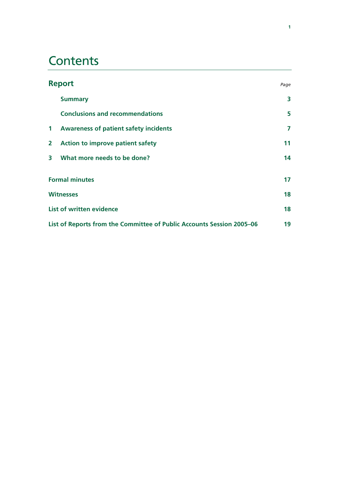## **Contents**

|                                                                       | <b>Report</b>                                | Page |
|-----------------------------------------------------------------------|----------------------------------------------|------|
|                                                                       | <b>Summary</b>                               | 3    |
|                                                                       | <b>Conclusions and recommendations</b>       | 5    |
| $\mathbf 1$                                                           | <b>Awareness of patient safety incidents</b> | 7    |
| $\mathbf{2}$                                                          | <b>Action to improve patient safety</b>      | 11   |
| 3                                                                     | What more needs to be done?                  | 14   |
|                                                                       | <b>Formal minutes</b>                        | 17   |
|                                                                       | <b>Witnesses</b>                             | 18   |
| <b>List of written evidence</b>                                       |                                              | 18   |
| List of Reports from the Committee of Public Accounts Session 2005–06 |                                              |      |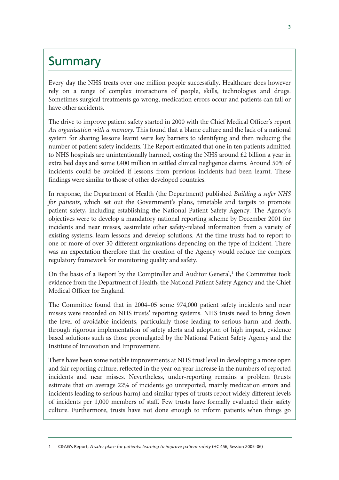## **Summary**

Every day the NHS treats over one million people successfully. Healthcare does however rely on a range of complex interactions of people, skills, technologies and drugs. Sometimes surgical treatments go wrong, medication errors occur and patients can fall or have other accidents.

The drive to improve patient safety started in 2000 with the Chief Medical Officer's report *An organisation with a memory*. This found that a blame culture and the lack of a national system for sharing lessons learnt were key barriers to identifying and then reducing the number of patient safety incidents. The Report estimated that one in ten patients admitted to NHS hospitals are unintentionally harmed, costing the NHS around  $\epsilon$ 2 billion a year in extra bed days and some £400 million in settled clinical negligence claims. Around 50% of incidents could be avoided if lessons from previous incidents had been learnt. These findings were similar to those of other developed countries.

In response, the Department of Health (the Department) published *Building a safer NHS for patients*, which set out the Government's plans, timetable and targets to promote patient safety, including establishing the National Patient Safety Agency. The Agency's objectives were to develop a mandatory national reporting scheme by December 2001 for incidents and near misses, assimilate other safety-related information from a variety of existing systems, learn lessons and develop solutions. At the time trusts had to report to one or more of over 30 different organisations depending on the type of incident. There was an expectation therefore that the creation of the Agency would reduce the complex regulatory framework for monitoring quality and safety.

On the basis of a Report by the Comptroller and Auditor General,<sup>1</sup> the Committee took evidence from the Department of Health, the National Patient Safety Agency and the Chief Medical Officer for England.

The Committee found that in 2004–05 some 974,000 patient safety incidents and near misses were recorded on NHS trusts' reporting systems. NHS trusts need to bring down the level of avoidable incidents, particularly those leading to serious harm and death, through rigorous implementation of safety alerts and adoption of high impact, evidence based solutions such as those promulgated by the National Patient Safety Agency and the Institute of Innovation and Improvement.

There have been some notable improvements at NHS trust level in developing a more open and fair reporting culture, reflected in the year on year increase in the numbers of reported incidents and near misses. Nevertheless, under-reporting remains a problem (trusts estimate that on average 22% of incidents go unreported, mainly medication errors and incidents leading to serious harm) and similar types of trusts report widely different levels of incidents per 1,000 members of staff. Few trusts have formally evaluated their safety culture. Furthermore, trusts have not done enough to inform patients when things go

**<sup>3</sup>**

<sup>1</sup> C&AG's Report, *A safer place for patients: learning to improve patient safety* (HC 456, Session 2005–06)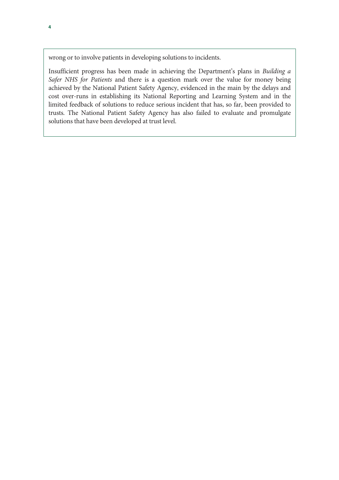wrong or to involve patients in developing solutions to incidents.

Insufficient progress has been made in achieving the Department's plans in *Building a Safer NHS for Patients* and there is a question mark over the value for money being achieved by the National Patient Safety Agency, evidenced in the main by the delays and cost over-runs in establishing its National Reporting and Learning System and in the limited feedback of solutions to reduce serious incident that has, so far, been provided to trusts. The National Patient Safety Agency has also failed to evaluate and promulgate solutions that have been developed at trust level.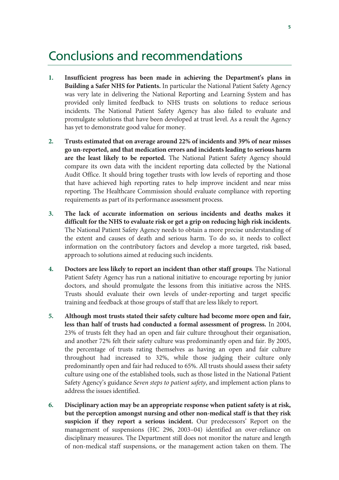## Conclusions and recommendations

- **1. Insufficient progress has been made in achieving the Department's plans in Building a Safer NHS for Patients.** In particular the National Patient Safety Agency was very late in delivering the National Reporting and Learning System and has provided only limited feedback to NHS trusts on solutions to reduce serious incidents. The National Patient Safety Agency has also failed to evaluate and promulgate solutions that have been developed at trust level. As a result the Agency has yet to demonstrate good value for money.
- **2. Trusts estimated that on average around 22% of incidents and 39% of near misses go un-reported, and that medication errors and incidents leading to serious harm are the least likely to be reported.** The National Patient Safety Agency should compare its own data with the incident reporting data collected by the National Audit Office. It should bring together trusts with low levels of reporting and those that have achieved high reporting rates to help improve incident and near miss reporting. The Healthcare Commission should evaluate compliance with reporting requirements as part of its performance assessment process.
- **3. The lack of accurate information on serious incidents and deaths makes it difficult for the NHS to evaluate risk or get a grip on reducing high risk incidents.** The National Patient Safety Agency needs to obtain a more precise understanding of the extent and causes of death and serious harm. To do so, it needs to collect information on the contributory factors and develop a more targeted, risk based, approach to solutions aimed at reducing such incidents.
- **4. Doctors are less likely to report an incident than other staff groups**. The National Patient Safety Agency has run a national initiative to encourage reporting by junior doctors, and should promulgate the lessons from this initiative across the NHS. Trusts should evaluate their own levels of under-reporting and target specific training and feedback at those groups of staff that are less likely to report.
- **5. Although most trusts stated their safety culture had become more open and fair, less than half of trusts had conducted a formal assessment of progress.** In 2004, 23% of trusts felt they had an open and fair culture throughout their organisation, and another 72% felt their safety culture was predominantly open and fair. By 2005, the percentage of trusts rating themselves as having an open and fair culture throughout had increased to 32%, while those judging their culture only predominantly open and fair had reduced to 65%. All trusts should assess their safety culture using one of the established tools, such as those listed in the National Patient Safety Agency's guidance *Seven steps to patient safety*, and implement action plans to address the issues identified.
- **6. Disciplinary action may be an appropriate response when patient safety is at risk, but the perception amongst nursing and other non-medical staff is that they risk suspicion if they report a serious incident.** Our predecessors' Report on the management of suspensions (HC 296, 2003–04) identified an over-reliance on disciplinary measures. The Department still does not monitor the nature and length of non-medical staff suspensions, or the management action taken on them. The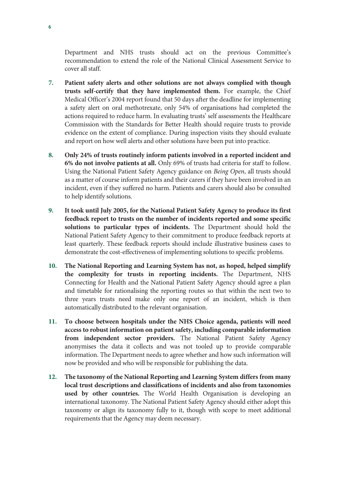Department and NHS trusts should act on the previous Committee's recommendation to extend the role of the National Clinical Assessment Service to cover all staff.

- **7. Patient safety alerts and other solutions are not always complied with though trusts self-certify that they have implemented them.** For example, the Chief Medical Officer's 2004 report found that 50 days after the deadline for implementing a safety alert on oral methotrexate, only 54% of organisations had completed the actions required to reduce harm. In evaluating trusts' self assessments the Healthcare Commission with the Standards for Better Health should require trusts to provide evidence on the extent of compliance. During inspection visits they should evaluate and report on how well alerts and other solutions have been put into practice.
- **8. Only 24% of trusts routinely inform patients involved in a reported incident and 6% do not involve patients at all.** Only 69% of trusts had criteria for staff to follow. Using the National Patient Safety Agency guidance on *Being Open*, all trusts should as a matter of course inform patients and their carers if they have been involved in an incident, even if they suffered no harm. Patients and carers should also be consulted to help identify solutions.
- **9. It took until July 2005, for the National Patient Safety Agency to produce its first feedback report to trusts on the number of incidents reported and some specific solutions to particular types of incidents.** The Department should hold the National Patient Safety Agency to their commitment to produce feedback reports at least quarterly. These feedback reports should include illustrative business cases to demonstrate the cost-effectiveness of implementing solutions to specific problems.
- **10. The National Reporting and Learning System has not, as hoped, helped simplify the complexity for trusts in reporting incidents.** The Department, NHS Connecting for Health and the National Patient Safety Agency should agree a plan and timetable for rationalising the reporting routes so that within the next two to three years trusts need make only one report of an incident, which is then automatically distributed to the relevant organisation.
- **11. To choose between hospitals under the NHS Choice agenda, patients will need access to robust information on patient safety, including comparable information from independent sector providers.** The National Patient Safety Agency anonymises the data it collects and was not tooled up to provide comparable information. The Department needs to agree whether and how such information will now be provided and who will be responsible for publishing the data.
- **12. The taxonomy of the National Reporting and Learning System differs from many local trust descriptions and classifications of incidents and also from taxonomies used by other countries.** The World Health Organisation is developing an international taxonomy. The National Patient Safety Agency should either adopt this taxonomy or align its taxonomy fully to it, though with scope to meet additional requirements that the Agency may deem necessary.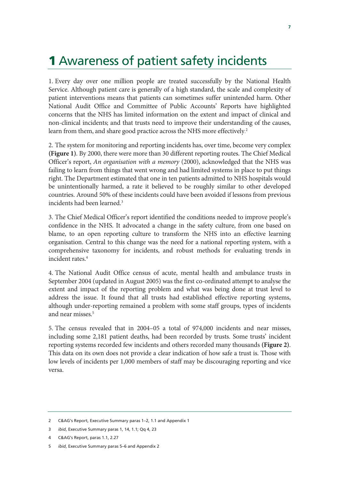# **1** Awareness of patient safety incidents

1. Every day over one million people are treated successfully by the National Health Service. Although patient care is generally of a high standard, the scale and complexity of patient interventions means that patients can sometimes suffer unintended harm. Other National Audit Office and Committee of Public Accounts' Reports have highlighted concerns that the NHS has limited information on the extent and impact of clinical and non-clinical incidents; and that trusts need to improve their understanding of the causes, learn from them, and share good practice across the NHS more effectively. 2

2. The system for monitoring and reporting incidents has, over time, become very complex **(Figure 1)**. By 2000, there were more than 30 different reporting routes. The Chief Medical Officer's report, *An organisation with a memory* (2000), acknowledged that the NHS was failing to learn from things that went wrong and had limited systems in place to put things right. The Department estimated that one in ten patients admitted to NHS hospitals would be unintentionally harmed, a rate it believed to be roughly similar to other developed countries. Around 50% of these incidents could have been avoided if lessons from previous incidents had been learned.<sup>3</sup>

3. The Chief Medical Officer's report identified the conditions needed to improve people's confidence in the NHS. It advocated a change in the safety culture, from one based on blame, to an open reporting culture to transform the NHS into an effective learning organisation. Central to this change was the need for a national reporting system, with a comprehensive taxonomy for incidents, and robust methods for evaluating trends in incident rates.<sup>4</sup>

4. The National Audit Office census of acute, mental health and ambulance trusts in September 2004 (updated in August 2005) was the first co-ordinated attempt to analyse the extent and impact of the reporting problem and what was being done at trust level to address the issue. It found that all trusts had established effective reporting systems, although under-reporting remained a problem with some staff groups, types of incidents and near misses.5

5. The census revealed that in 2004–05 a total of 974,000 incidents and near misses, including some 2,181 patient deaths, had been recorded by trusts. Some trusts' incident reporting systems recorded few incidents and others recorded many thousands **(Figure 2)**. This data on its own does not provide a clear indication of how safe a trust is. Those with low levels of incidents per 1,000 members of staff may be discouraging reporting and vice versa.

4 C&AG's Report, paras 1.1, 2.27

<sup>2</sup> C&AG's Report, Executive Summary paras 1–2, 1.1 and Appendix 1

<sup>3</sup> *ibid*, Executive Summary paras 1, 14, 1.1; Qq 4, 23

<sup>5</sup> *ibid*, Executive Summary paras 5–6 and Appendix 2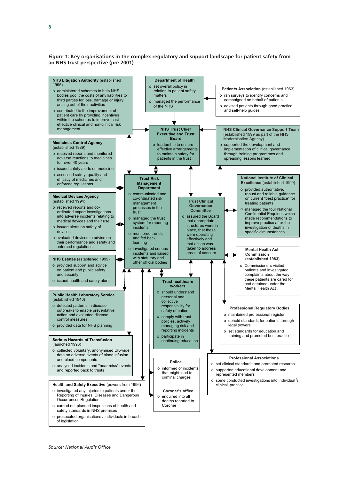**Figure 1: Key organisations in the complex regulatory and support landscape for patient safety from an NHS trust perspective (pre 2001)** 

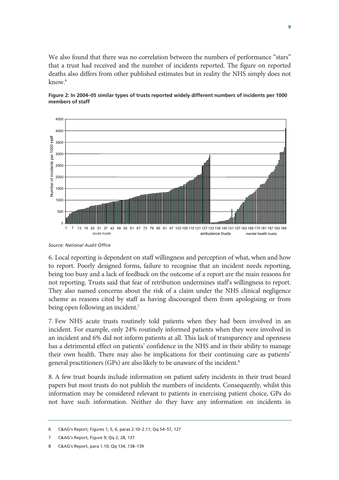We also found that there was no correlation between the numbers of performance "stars" that a trust had received and the number of incidents reported. The figure on reported deaths also differs from other published estimates but in reality the NHS simply does not know.6





6. Local reporting is dependent on staff willingness and perception of what, when and how to report. Poorly designed forms, failure to recognise that an incident needs reporting, being too busy and a lack of feedback on the outcome of a report are the main reasons for not reporting. Trusts said that fear of retribution undermines staff's willingness to report. They also named concerns about the risk of a claim under the NHS clinical negligence scheme as reasons cited by staff as having discouraged them from apologising or from being open following an incident.<sup>7</sup>

7. Few NHS acute trusts routinely told patients when they had been involved in an incident. For example, only 24% routinely informed patients when they were involved in an incident and 6% did not inform patients at all. This lack of transparency and openness has a detrimental effect on patients' confidence in the NHS and in their ability to manage their own health. There may also be implications for their continuing care as patients' general practitioners (GPs) are also likely to be unaware of the incident.<sup>8</sup>

8. A few trust boards include information on patient safety incidents in their trust board papers but most trusts do not publish the numbers of incidents. Consequently, whilst this information may be considered relevant to patients in exercising patient choice, GPs do not have such information. Neither do they have any information on incidents in

*Source: National Audit Office* 

<sup>6</sup> C&AG's Report, Figures 1, 5, 6, paras 2.10–2.11; Qq 54–57, 127

<sup>7</sup> C&AG's Report, Figure 9; Qq 2, 28, 137

<sup>8</sup> C&AG's Report, para 1.10; Qq 134, 138–139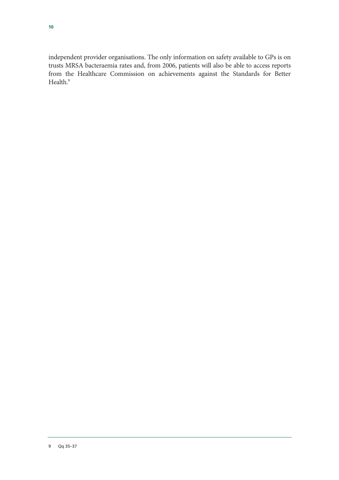independent provider organisations. The only information on safety available to GPs is on trusts MRSA bacteraemia rates and, from 2006, patients will also be able to access reports from the Healthcare Commission on achievements against the Standards for Better Health.<sup>9</sup>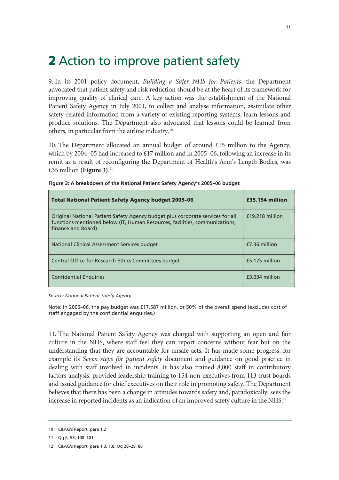# **2** Action to improve patient safety

9. In its 2001 policy document, *Building a Safer NHS for Patients*, the Department advocated that patient safety and risk reduction should be at the heart of its framework for improving quality of clinical care. A key action was the establishment of the National Patient Safety Agency in July 2001, to collect and analyse information, assimilate other safety-related information from a variety of existing reporting systems, learn lessons and produce solutions. The Department also advocated that lessons could be learned from others, in particular from the airline industry.10

10. The Department allocated an annual budget of around £15 million to the Agency, which by 2004–05 had increased to £17 million and in 2005–06, following an increase in its remit as a result of reconfiguring the Department of Health's Arm's Length Bodies, was £35 million **(Figure 3)**. 11

| <b>Total National Patient Safety Agency budget 2005-06</b>                                                                                                                          | £35.154 million |
|-------------------------------------------------------------------------------------------------------------------------------------------------------------------------------------|-----------------|
| Original National Patient Safety Agency budget plus corporate services for all<br>functions mentioned below (IT, Human Resources, facilities, communications,<br>finance and Board) | £19.218 million |
| National Clinical Assessment Services budget                                                                                                                                        | £7.36 million   |
| Central Office for Research Ethics Committees budget                                                                                                                                | £5.175 million  |
| <b>Confidential Enguiries</b>                                                                                                                                                       | £3.034 million  |

| Figure 3: A breakdown of the National Patient Safety Agency's 2005-06 budget |  |  |
|------------------------------------------------------------------------------|--|--|
|                                                                              |  |  |

*Source: National Patient Safety Agency* 

Note: In 2005–06, the pay budget was £17.587 million, or 50% of the overall spend (excludes cost of staff engaged by the confidential enquiries.)

11. The National Patient Safety Agency was charged with supporting an open and fair culture in the NHS, where staff feel they can report concerns without fear but on the understanding that they are accountable for unsafe acts. It has made some progress, for example its *Seven steps for patient safety* document and guidance on good practice in dealing with staff involved in incidents. It has also trained 8,000 staff in contributory factors analysis, provided leadership training to 154 non-executives from 113 trust boards and issued guidance for chief executives on their role in promoting safety. The Department believes that there has been a change in attitudes towards safety and, paradoxically, sees the increase in reported incidents as an indication of an improved safety culture in the NHS.<sup>12</sup>

<sup>10</sup> C&AG's Report, para 1.2

<sup>11</sup> Qq 6, 93, 100–101

<sup>12</sup> C&AG's Report, para 1.3, 1.8; Qq 28–29, 88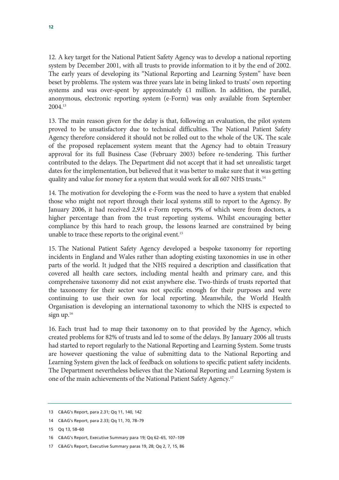12. A key target for the National Patient Safety Agency was to develop a national reporting system by December 2001, with all trusts to provide information to it by the end of 2002. The early years of developing its "National Reporting and Learning System" have been beset by problems. The system was three years late in being linked to trusts' own reporting systems and was over-spent by approximately £1 million. In addition, the parallel, anonymous, electronic reporting system (e-Form) was only available from September 2004.13

13. The main reason given for the delay is that, following an evaluation, the pilot system proved to be unsatisfactory due to technical difficulties. The National Patient Safety Agency therefore considered it should not be rolled out to the whole of the UK. The scale of the proposed replacement system meant that the Agency had to obtain Treasury approval for its full Business Case (February 2003) before re-tendering. This further contributed to the delays. The Department did not accept that it had set unrealistic target dates for the implementation, but believed that it was better to make sure that it was getting quality and value for money for a system that would work for all 607 NHS trusts.<sup>14</sup>

14. The motivation for developing the e-Form was the need to have a system that enabled those who might not report through their local systems still to report to the Agency. By January 2006, it had received 2,914 e-Form reports, 9% of which were from doctors, a higher percentage than from the trust reporting systems. Whilst encouraging better compliance by this hard to reach group, the lessons learned are constrained by being unable to trace these reports to the original event.<sup>15</sup>

15. The National Patient Safety Agency developed a bespoke taxonomy for reporting incidents in England and Wales rather than adopting existing taxonomies in use in other parts of the world. It judged that the NHS required a description and classification that covered all health care sectors, including mental health and primary care, and this comprehensive taxonomy did not exist anywhere else. Two-thirds of trusts reported that the taxonomy for their sector was not specific enough for their purposes and were continuing to use their own for local reporting. Meanwhile, the World Health Organisation is developing an international taxonomy to which the NHS is expected to sign  $up.^{16}$ 

16. Each trust had to map their taxonomy on to that provided by the Agency, which created problems for 82% of trusts and led to some of the delays. By January 2006 all trusts had started to report regularly to the National Reporting and Learning System. Some trusts are however questioning the value of submitting data to the National Reporting and Learning System given the lack of feedback on solutions to specific patient safety incidents. The Department nevertheless believes that the National Reporting and Learning System is one of the main achievements of the National Patient Safety Agency.<sup>17</sup>

<sup>13</sup> C&AG's Report, para 2.31; Qq 11, 140, 142

<sup>14</sup> C&AG's Report, para 2.33; Qq 11, 70, 78–79

<sup>15</sup> Qq 13, 58–60

<sup>16</sup> C&AG's Report, Executive Summary para 19; Qq 62–65, 107–109

<sup>17</sup> C&AG's Report, Executive Summary paras 19, 28; Qq 2, 7, 15, 86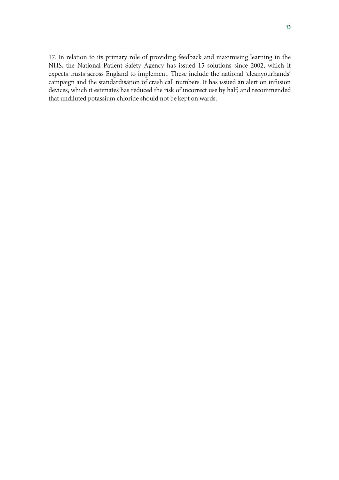17. In relation to its primary role of providing feedback and maximising learning in the NHS, the National Patient Safety Agency has issued 15 solutions since 2002, which it expects trusts across England to implement. These include the national 'cleanyourhands' campaign and the standardisation of crash call numbers. It has issued an alert on infusion devices, which it estimates has reduced the risk of incorrect use by half; and recommended that undiluted potassium chloride should not be kept on wards.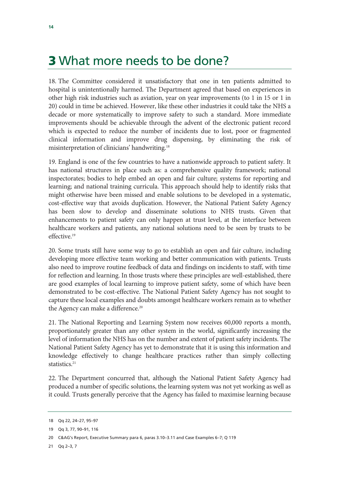## **3** What more needs to be done?

18. The Committee considered it unsatisfactory that one in ten patients admitted to hospital is unintentionally harmed. The Department agreed that based on experiences in other high risk industries such as aviation, year on year improvements (to 1 in 15 or 1 in 20) could in time be achieved. However, like these other industries it could take the NHS a decade or more systematically to improve safety to such a standard. More immediate improvements should be achievable through the advent of the electronic patient record which is expected to reduce the number of incidents due to lost, poor or fragmented clinical information and improve drug dispensing, by eliminating the risk of misinterpretation of clinicians' handwriting.18

19. England is one of the few countries to have a nationwide approach to patient safety. It has national structures in place such as: a comprehensive quality framework; national inspectorates; bodies to help embed an open and fair culture; systems for reporting and learning; and national training curricula. This approach should help to identify risks that might otherwise have been missed and enable solutions to be developed in a systematic, cost-effective way that avoids duplication. However, the National Patient Safety Agency has been slow to develop and disseminate solutions to NHS trusts. Given that enhancements to patient safety can only happen at trust level, at the interface between healthcare workers and patients, any national solutions need to be seen by trusts to be effective.19

20. Some trusts still have some way to go to establish an open and fair culture, including developing more effective team working and better communication with patients. Trusts also need to improve routine feedback of data and findings on incidents to staff, with time for reflection and learning. In those trusts where these principles are well-established, there are good examples of local learning to improve patient safety, some of which have been demonstrated to be cost-effective. The National Patient Safety Agency has not sought to capture these local examples and doubts amongst healthcare workers remain as to whether the Agency can make a difference.<sup>20</sup>

21. The National Reporting and Learning System now receives 60,000 reports a month, proportionately greater than any other system in the world, significantly increasing the level of information the NHS has on the number and extent of patient safety incidents. The National Patient Safety Agency has yet to demonstrate that it is using this information and knowledge effectively to change healthcare practices rather than simply collecting statistics.<sup>21</sup>

22. The Department concurred that, although the National Patient Safety Agency had produced a number of specific solutions, the learning system was not yet working as well as it could. Trusts generally perceive that the Agency has failed to maximise learning because

21 Qq 2–3, 7

<sup>18</sup> Qq 22, 24–27, 95–97

<sup>19</sup> Qq 3, 77, 90–91, 116

<sup>20</sup> C&AG's Report, Executive Summary para 6, paras 3.10–3.11 and Case Examples 6–7; Q 119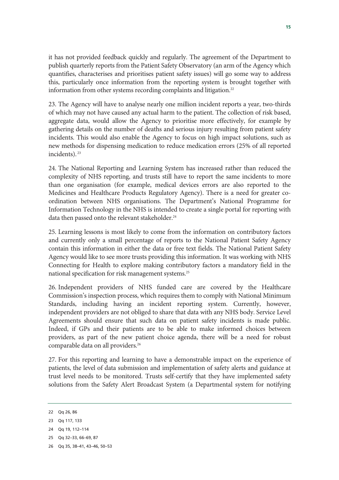it has not provided feedback quickly and regularly. The agreement of the Department to publish quarterly reports from the Patient Safety Observatory (an arm of the Agency which quantifies, characterises and prioritises patient safety issues) will go some way to address this, particularly once information from the reporting system is brought together with information from other systems recording complaints and litigation.<sup>22</sup>

23. The Agency will have to analyse nearly one million incident reports a year, two-thirds of which may not have caused any actual harm to the patient. The collection of risk based, aggregate data, would allow the Agency to prioritise more effectively, for example by gathering details on the number of deaths and serious injury resulting from patient safety incidents. This would also enable the Agency to focus on high impact solutions, such as new methods for dispensing medication to reduce medication errors (25% of all reported incidents). 23

24. The National Reporting and Learning System has increased rather than reduced the complexity of NHS reporting, and trusts still have to report the same incidents to more than one organisation (for example, medical devices errors are also reported to the Medicines and Healthcare Products Regulatory Agency). There is a need for greater coordination between NHS organisations. The Department's National Programme for Information Technology in the NHS is intended to create a single portal for reporting with data then passed onto the relevant stakeholder.<sup>24</sup>

25. Learning lessons is most likely to come from the information on contributory factors and currently only a small percentage of reports to the National Patient Safety Agency contain this information in either the data or free text fields. The National Patient Safety Agency would like to see more trusts providing this information. It was working with NHS Connecting for Health to explore making contributory factors a mandatory field in the national specification for risk management systems.25

26. Independent providers of NHS funded care are covered by the Healthcare Commission's inspection process, which requires them to comply with National Minimum Standards, including having an incident reporting system. Currently, however, independent providers are not obliged to share that data with any NHS body. Service Level Agreements should ensure that such data on patient safety incidents is made public. Indeed, if GPs and their patients are to be able to make informed choices between providers, as part of the new patient choice agenda, there will be a need for robust comparable data on all providers.<sup>26</sup>

27. For this reporting and learning to have a demonstrable impact on the experience of patients, the level of data submission and implementation of safety alerts and guidance at trust level needs to be monitored. Trusts self-certify that they have implemented safety solutions from the Safety Alert Broadcast System (a Departmental system for notifying

<sup>22</sup> Qq 26, 86

<sup>23</sup> Qq 117, 133

<sup>24</sup> Qq 19, 112–114

<sup>25</sup> Qq 32–33, 66–69, 87

<sup>26</sup> Qq 35, 38–41, 43–46, 50–53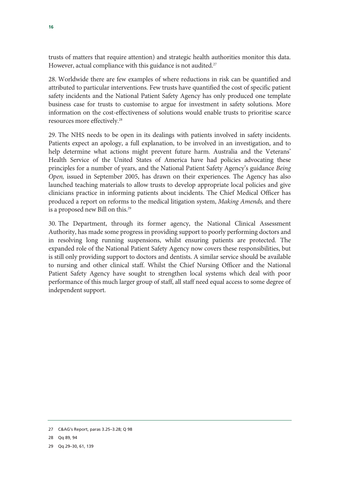trusts of matters that require attention) and strategic health authorities monitor this data. However, actual compliance with this guidance is not audited.<sup>27</sup>

28. Worldwide there are few examples of where reductions in risk can be quantified and attributed to particular interventions. Few trusts have quantified the cost of specific patient safety incidents and the National Patient Safety Agency has only produced one template business case for trusts to customise to argue for investment in safety solutions. More information on the cost-effectiveness of solutions would enable trusts to prioritise scarce resources more effectively.28

29. The NHS needs to be open in its dealings with patients involved in safety incidents. Patients expect an apology, a full explanation, to be involved in an investigation, and to help determine what actions might prevent future harm. Australia and the Veterans' Health Service of the United States of America have had policies advocating these principles for a number of years, and the National Patient Safety Agency's guidance *Being Open,* issued in September 2005, has drawn on their experiences. The Agency has also launched teaching materials to allow trusts to develop appropriate local policies and give clinicians practice in informing patients about incidents. The Chief Medical Officer has produced a report on reforms to the medical litigation system, *Making Amends,* and there is a proposed new Bill on this.<sup>29</sup>

30. The Department, through its former agency, the National Clinical Assessment Authority, has made some progress in providing support to poorly performing doctors and in resolving long running suspensions, whilst ensuring patients are protected. The expanded role of the National Patient Safety Agency now covers these responsibilities, but is still only providing support to doctors and dentists. A similar service should be available to nursing and other clinical staff. Whilst the Chief Nursing Officer and the National Patient Safety Agency have sought to strengthen local systems which deal with poor performance of this much larger group of staff, all staff need equal access to some degree of independent support.

<sup>27</sup> C&AG's Report, paras 3.25–3.28; Q 98

<sup>28</sup> Qq 89, 94

<sup>29</sup> Qq 29–30, 61, 139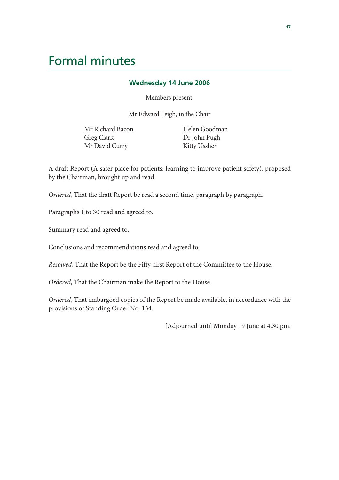## Formal minutes

### **Wednesday 14 June 2006**

Members present:

Mr Edward Leigh, in the Chair

Mr Richard Bacon Greg Clark Mr David Curry

 Helen Goodman Dr John Pugh Kitty Ussher

A draft Report (A safer place for patients: learning to improve patient safety), proposed by the Chairman, brought up and read.

*Ordered*, That the draft Report be read a second time, paragraph by paragraph.

Paragraphs 1 to 30 read and agreed to.

Summary read and agreed to.

Conclusions and recommendations read and agreed to.

*Resolved*, That the Report be the Fifty-first Report of the Committee to the House.

*Ordered*, That the Chairman make the Report to the House.

*Ordered*, That embargoed copies of the Report be made available, in accordance with the provisions of Standing Order No. 134.

[Adjourned until Monday 19 June at 4.30 pm.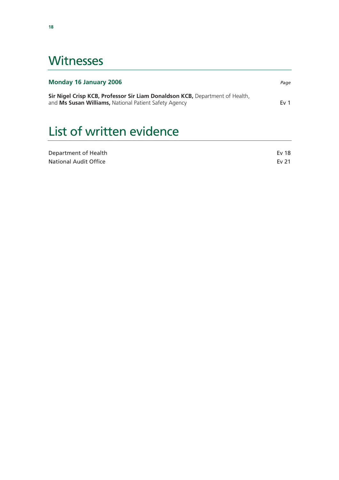## **Witnesses**

### **Monday 16 January 2006** *Page*

**Sir Nigel Crisp KCB, Professor Sir Liam Donaldson KCB,** Department of Health, and Ms Susan Williams, National Patient Safety Agency **Example 2018** Ev 1

# List of written evidence

| Department of Health  | Ev 18 |
|-----------------------|-------|
| National Audit Office | Ev 21 |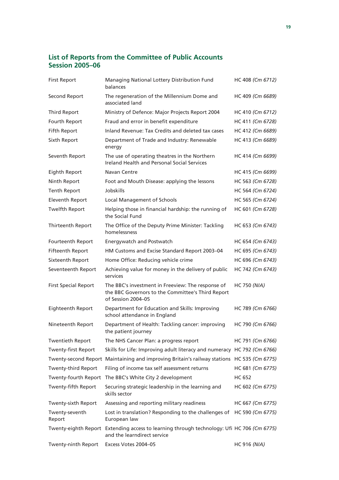### **List of Reports from the Committee of Public Accounts Session 2005–06**

| <b>First Report</b>         | Managing National Lottery Distribution Fund<br>balances                                                                      | HC 408 (Cm 6712)    |
|-----------------------------|------------------------------------------------------------------------------------------------------------------------------|---------------------|
| Second Report               | The regeneration of the Millennium Dome and<br>associated land                                                               | HC 409 (Cm 6689)    |
| <b>Third Report</b>         | Ministry of Defence: Major Projects Report 2004                                                                              | HC 410 (Cm 6712)    |
| Fourth Report               | Fraud and error in benefit expenditure                                                                                       | HC 411 (Cm 6728)    |
| Fifth Report                | Inland Revenue: Tax Credits and deleted tax cases                                                                            | HC 412 (Cm 6689)    |
| Sixth Report                | Department of Trade and Industry: Renewable<br>energy                                                                        | HC 413 (Cm 6689)    |
| Seventh Report              | The use of operating theatres in the Northern<br><b>Ireland Health and Personal Social Services</b>                          | HC 414 (Cm 6699)    |
| Eighth Report               | Navan Centre                                                                                                                 | HC 415 (Cm 6699)    |
| Ninth Report                | Foot and Mouth Disease: applying the lessons                                                                                 | HC 563 (Cm 6728)    |
| <b>Tenth Report</b>         | Jobskills                                                                                                                    | HC 564 (Cm 6724)    |
| <b>Eleventh Report</b>      | <b>Local Management of Schools</b>                                                                                           | HC 565 (Cm 6724)    |
| <b>Twelfth Report</b>       | Helping those in financial hardship: the running of<br>the Social Fund                                                       | HC 601 (Cm 6728)    |
| Thirteenth Report           | The Office of the Deputy Prime Minister: Tackling<br>homelessness                                                            | HC 653 (Cm 6743)    |
| Fourteenth Report           | Energywatch and Postwatch                                                                                                    | HC 654 (Cm 6743)    |
| <b>Fifteenth Report</b>     | HM Customs and Excise Standard Report 2003-04                                                                                | HC 695 (Cm 6743)    |
| Sixteenth Report            | Home Office: Reducing vehicle crime                                                                                          | HC 696 (Cm 6743)    |
| Seventeenth Report          | Achieving value for money in the delivery of public<br>services                                                              | HC 742 (Cm 6743)    |
| <b>First Special Report</b> | The BBC's investment in Freeview: The response of<br>the BBC Governors to the Committee's Third Report<br>of Session 2004-05 | <b>HC 750 (N/A)</b> |
| Eighteenth Report           | Department for Education and Skills: Improving<br>school attendance in England                                               | HC 789 (Cm 6766)    |
| Nineteenth Report           | Department of Health: Tackling cancer: improving<br>the patient journey                                                      | HC 790 (Cm 6766)    |
| <b>Twentieth Report</b>     | The NHS Cancer Plan: a progress report                                                                                       | HC 791 (Cm 6766)    |
| <b>Twenty-first Report</b>  | Skills for Life: Improving adult literacy and numeracy HC 792 (Cm 6766)                                                      |                     |
|                             | Twenty-second Report Maintaining and improving Britain's railway stations HC 535 (Cm 6775)                                   |                     |
| <b>Twenty-third Report</b>  | Filing of income tax self assessment returns                                                                                 | HC 681 (Cm 6775)    |
| Twenty-fourth Report        | The BBC's White City 2 development                                                                                           | <b>HC 652</b>       |
| Twenty-fifth Report         | Securing strategic leadership in the learning and<br>skills sector                                                           | HC 602 (Cm 6775)    |
| Twenty-sixth Report         | Assessing and reporting military readiness                                                                                   | HC 667 (Cm 6775)    |
| Twenty-seventh<br>Report    | Lost in translation? Responding to the challenges of HC 590 (Cm 6775)<br>European law                                        |                     |
|                             | Twenty-eighth Report Extending access to learning through technology: Ufi HC 706 (Cm 6775)<br>and the learndirect service    |                     |
| Twenty-ninth Report         | Excess Votes 2004-05                                                                                                         | HC 916 (N/A)        |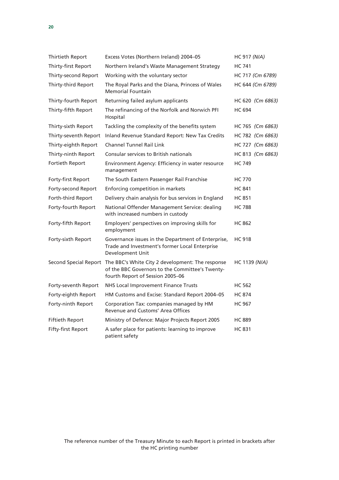| Thirtieth Report          | Excess Votes (Northern Ireland) 2004-05                                                                                                                       | HC 917 (N/A)     |
|---------------------------|---------------------------------------------------------------------------------------------------------------------------------------------------------------|------------------|
| Thirty-first Report       | Northern Ireland's Waste Management Strategy                                                                                                                  | <b>HC 741</b>    |
| Thirty-second Report      | Working with the voluntary sector                                                                                                                             | HC 717 (Cm 6789) |
| Thirty-third Report       | The Royal Parks and the Diana, Princess of Wales<br><b>Memorial Fountain</b>                                                                                  | HC 644 (Cm 6789) |
| Thirty-fourth Report      | Returning failed asylum applicants                                                                                                                            | HC 620 (Cm 6863) |
| Thirty-fifth Report       | The refinancing of the Norfolk and Norwich PFI<br>Hospital                                                                                                    | <b>HC 694</b>    |
| Thirty-sixth Report       | Tackling the complexity of the benefits system                                                                                                                | HC 765 (Cm 6863) |
| Thirty-seventh Report     | Inland Revenue Standard Report: New Tax Credits                                                                                                               | HC 782 (Cm 6863) |
| Thirty-eighth Report      | <b>Channel Tunnel Rail Link</b>                                                                                                                               | HC 727 (Cm 6863) |
| Thirty-ninth Report       | Consular services to British nationals                                                                                                                        | HC 813 (Cm 6863) |
| Fortieth Report           | Environment Agency: Efficiency in water resource<br>management                                                                                                | <b>HC 749</b>    |
| Forty-first Report        | The South Eastern Passenger Rail Franchise                                                                                                                    | <b>HC 770</b>    |
| Forty-second Report       | Enforcing competition in markets                                                                                                                              | <b>HC 841</b>    |
| Forth-third Report        | Delivery chain analysis for bus services in England                                                                                                           | <b>HC 851</b>    |
| Forty-fourth Report       | National Offender Management Service: dealing<br>with increased numbers in custody                                                                            | <b>HC 788</b>    |
| Forty-fifth Report        | Employers' perspectives on improving skills for<br>employment                                                                                                 | <b>HC 862</b>    |
| Forty-sixth Report        | Governance issues in the Department of Enterprise,<br>Trade and Investment's former Local Enterprise<br>Development Unit                                      | <b>HC 918</b>    |
|                           | Second Special Report The BBC's White City 2 development: The response<br>of the BBC Governors to the Committee's Twenty-<br>fourth Report of Session 2005-06 | HC 1139 (N/A)    |
| Forty-seventh Report      | NHS Local Improvement Finance Trusts                                                                                                                          | <b>HC 562</b>    |
| Forty-eighth Report       | HM Customs and Excise: Standard Report 2004-05                                                                                                                | <b>HC 874</b>    |
| Forty-ninth Report        | Corporation Tax: companies managed by HM<br>Revenue and Customs' Area Offices                                                                                 | HC 967           |
| <b>Fiftieth Report</b>    | Ministry of Defence: Major Projects Report 2005                                                                                                               | <b>HC 889</b>    |
| <b>Fifty-first Report</b> | A safer place for patients: learning to improve<br>patient safety                                                                                             | <b>HC 831</b>    |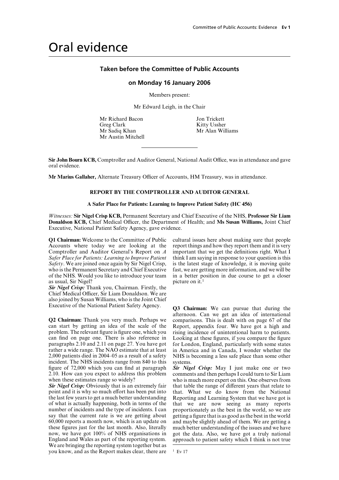## Oral evidence

### **Taken before the Committee of Public Accounts**

#### **on Monday 16 January 2006**

Members present:

Mr Edward Leigh, in the Chair

Mr Richard Bacon<br>Greg Clark Gree Clark<br>Kitty Ussher Mr Sadiq Khan Mr Austin Mitchell

Kitty Ussher<br>Mr Alan Williams

**Sir John Bourn KCB,** Comptroller and Auditor General, National Audit Office, was in attendance and gave oral evidence.

Mr Marius Gallaher, Alternate Treasury Officer of Accounts, HM Treasury, was in attendance.

### **REPORT BY THE COMPTROLLER AND AUDITOR GENERAL**

#### **A Safer Place for Patients: Learning to Improve Patient Safety (HC 456)**

*Witnesses:* **Sir Nigel Crisp KCB,** Permanent Secretary and Chief Executive of the NHS, **Professor Sir Liam Donaldson KCB,** Chief Medical Officer, the Department of Health; and Ms Susan Williams, Joint Chief Executive, National Patient Safety Agency, gave evidence.

Accounts where today we are looking at the Comptroller and Auditor General's Report on  $A$ *Safer Place for Patients: Learning to Improve Patient* as usual, Sir Nigel?  $\mu$  bicture on it.<sup>1</sup>

*Sir Nigel Crisp:* Thank you, Chairman. Firstly, the Chief Medical Officer, Sir Liam Donaldson. We are also joined by Susan Williams, who is the Joint Chief Executive of the National Patient Safety Agency. **Q3 Chairman:** We can pursue that during the

can start by getting an idea of the scale of the Report, appendix four. We have got a high and problem. The relevant figure is figure one, which you rising incidence of unintentional harm to patients. can find on page one. There is also reference in Looking at these figures, if you compare the figure paragraphs 2.10 and 2.11 on page 27. You have got for London, England, particularly with some states rather a wide range. The NAO estimate that at least in America and in Canada, I wonder whether the 2,000 patients died in 2004–05 as a result of a safety NHS is becoming a less safe place than some other incident. The NHS incidents range from 840 to this systems.<br>figure of 72,000 which you can find at paragraph **Sir** Nig 2.10. How can you expect to address this problem comments and then perhaps I could turn to Sir Liam

point and it is why so much effort has been put into the last few years to get a much better understanding Reporting and Learning System that we have got is of what is actually happening, both in terms of the that we are now seeing as many reports number of incidents and the type of incidents. I can proportionately as the best in the world, so we are say that the current rate is we are getting about 60,000 reports a month now, which is an update on 60,000 reports a month now, which is an update on and maybe slightly ahead of them. We are getting a these figures just for the last month. Also, literally much better understanding of the issues and we have now, we have got 100% of NHS organisations in got the data. Also, we have got a truly national now, we have got 100% of NHS organisations in got the data. Also, we have got a truly national England and Wales as part of the reporting system. approach to patient safety which I think is not true We are bringing the reporting system together but as you know, and as the Report makes clear, there are <sup>1</sup> Ev 17

**Q1 Chairman:** Welcome to the Committee of Public cultural issues here about making sure that people Accounts where today we are looking at the report things and how they report them and it is very important that we get the definitions right. What I think I am saying in response to your question is this *Safety*. We are joined once again by Sir Nigel Crisp, is the latest stage of knowledge, it is moving quite who is the Permanent Secretary and Chief Executive fast, we are getting more information, and we will be of the NHS. Would you like to introduce your team in a better position in due course to get a closer in a better position in due course to get a closer

afternoon. Can we get an idea of international **Q2 Chairman:** Thank you very much. Perhaps we comparisons. This is dealt with on page 67 of the for London, England, particularly with some states

*Sir Nigel Crisp:* May I just make one or two when these estimates range so widely?<br> **Sir Nigel Crisp:** Obviously that is an extremely fair that table the range of different vears that relate to that table the range of different years that relate to that. What we do know from the National proportionately as the best in the world, so we are getting a figure that is as good as the best in the world approach to patient safety which I think is not true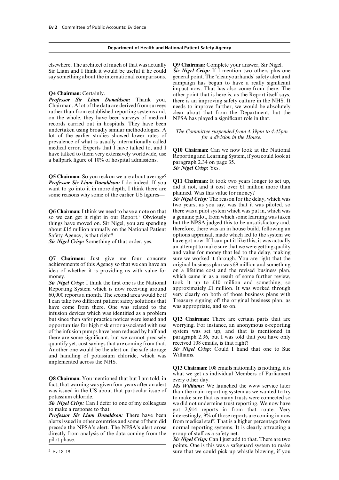**Professor Sir Liam Donaldson:** Thank you, there is an improving safety culture in the NHS. It Chairman. A lot of the data are derived from surveys needs to improve further we would be absolutely Chairman. A lot of the data are derived from surveys needs to improve further, we would be absolutely rather than from established reporting systems and, clear about that from the Department, but the on the whole, they have been surveys of medical records carried out in hospitals. They have been undertaken using broadly similar methodologies. A<br>lot of the earlier studies showed lower rates of *for a division in the House*.<br>prevalence of what is usually internationally called medical error. Experts that I have talked to, and I<br>have talked to them very extensively worldwide, use<br>a ballpark figure of  $10\%$  of hospital admissions.<br>a ballpark figure of  $10\%$  of hospital admissions.<br>paragraph 2.3

**Q5 Chairman:** So you reckon we are about average? **Professor Sir Liam Donaldson:** I do indeed. If you **Q11 Chairman:** It took two years longer to set up, want to go into it in more denth. I think there are did it not, and it cost over £1 million more than want to go into it in more depth, I think there are did it not, and it cost over  $\pm 1$  million more than more than more than more than more than more than  $\frac{d}{dt}$  more than  $\frac{d}{dt}$  more than  $\frac{d}{dt}$  more than  $\frac{d$ some reasons why some of the earlier US figures—<br>**Sir Nigel Crisp:** The reason for the delay, which was

so we can get it right in our Report.<sup>2</sup> Obviously a genuine pilot, from which some learning was taken things have moved on. Sir Nigel, you are spending but the NPSA judged this to be unsatisfactory and, things have moved on. Sir Nigel, you are spending but the NPSA judged this to be unsatisfactory and, the National Patient therefore, there was an in house build, following an about £15 million annually on the National Patient

*Sir Nigel Crisp:* Something of that order, yes.

achievements of this Agency so that we can have an money. which came in as a result of some further review,

Reporting System which is now receiving around approximately  $\pounds 1$  million. It was worked through 60,000 reports a month. The second area would be if very clearly on both of those business plans with 60,000 reports a month. The second area would be if very clearly on both of those business plans with I can take two different patient safety solutions that Treasury signing off the original business plane, and so on. have come from there. One was related to the infusion devices which was identified as a problem but since then safer practice notices were issued and **Q12 Chairman:** There are certain parts that are opportunities for high risk error associated with use worrying. For instance, an anonymous e-reporting opportunities for high risk error associated with use worrying. For instance, an anonymous e-reporting of the infusion pumps have been reduced by half and there are some significant, but we cannot precisely paragraph 2.36, but I was told that you have only quantify yet, cost savings that are coming from that. received 108 emails, is that right? Another one would be the alert on the safe storage **Sir Nigel Crisp:** Could I hand that one to Sue and handling of potassium chloride, which was Williams. and handling of potassium chloride, which was implemented across the NHS.

**Q8 Chairman:** You mentioned that but I am told, in<br>fact, that warning was given four years after an alert *Ms Williams:* We launched the www service later<br>was issued in the US about that particular issue of than the main was issued in the US about that particular issue of than the main reporting system as we wanted to try potassium chloride.

*Professor Sir Liam Donaldson:* There have been interestingly, 9% of those reports are coming in now alerts issued in other countries and some of them did from medical staff. That is a higher percentage from precede the NPSA's alert. The NPSA's alert arose normal reporting systems. It directly from analysis of the data coming from the group of staff as a safety net. directly from analysis of the data coming from the pilot phase. *Sir Nigel Crisp:* Can I just add to that. There are two

elsewhere. The architect of much of that was actually **Q9 Chairman:** Complete your answer, Sir Nigel. Sir Liam and I think it would be useful if he could *Sir Nigel Crisp:* If I mention two others plus one say something about the international comparisons. general point. The 'cleanyourhands' safety alert and campaign has begun to have a really significant **Q4 Chairman:** Certainly.<br> **Q4 Chairman:** Certainly.<br> **Professor Sir Liam Donaldson:** Thank you, there is an improving safety culture in the NHS. It clear about that from the Department, but the NPSA has played a significant role in that.

*Sir Nigel Crisp:* Yes.

two years, as you say, was that it was piloted, so **Q6 Chairman:** I think we need to have a note on that there was a pilot system which was put in, which was so we can get it right in our Report.<sup>2</sup> Obviously a genuine pilot, from which some learning was taken Safety Agency, is that right?<br>
Sir Nigel Crisn: Something of that order, yes have got now. If I can put it like this, it was actually an attempt to make sure that we were getting quality and value for money that led to the delay, making **Q7 Chairman:** Just give me four concrete sure we worked it through. You are right that the achievements of this Agency so that we can have an original business plan was £9 million and something idea of whether it is providing us with value for on a lifetime cost and the revised business plan, *Sir Nigel Crisp:* I think the first one is the National took it up to £10 million and something, so Reporting System which is now receiving around approximately £1 million. It was worked through

**Q13 Chairman:** 108 emails nationally is nothing, it is

potassium chloride.<br>**Sir Nigel Crisp:** Can I defer to one of my colleagues we did not undermine trust reporting. We now have *Sir Nigel Crisp:* Can I defer to one of my colleagues we did not undermine trust reporting. We now have to make a response to that. to make a response to that.<br> **Professor Sir Liam Donaldson:** There have been interestingly, 9% of those reports are coming in now from medical staff. That is a higher percentage from normal reporting systems. It is clearly attracting a

points. One is this was a safeguard system to make <sup>2</sup> Ev 18–19 sure that we could pick up whistle blowing, if you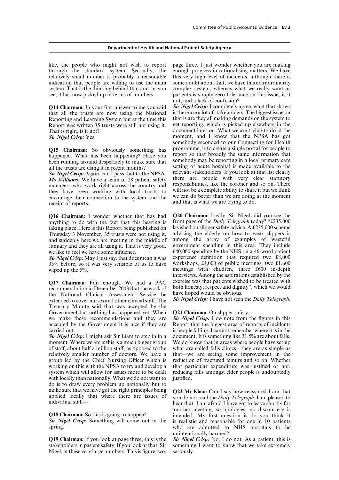like, the people who might not wish to report page three. I just wonder whether you are making through the standard system. Secondly, the enough progress in rationalising matters. We have relatively small number is probably a reasonable this very high level of incidents, although there is indication that people are willing to use the main some doubt about that, we have this extraordinarily system. That is the thinking behind that and, as you complex system, whereas what we really want as see, it has now picked up in terms of numbers. patients is simply zero tolerance on this issue, is it

that all the trusts are now using the National is there are a lot of stakeholders. The biggest issue on Reporting and Learning System but at the time this that is are they all making demands on the system to Reporting and Learning System but at the time this that is are they all making demands on the system to Report was written 35 trusts were still not using it. get reporting, which is picked up elsewhere in the Report was written 35 trusts were still not using it.<br>That is right, is it not?

*Ms Williams:* We have a team of 28 patient safety there are people with very clear statutory managers who work right across the country and responsibilities, like the coroner and so on. There managers who work right across the country and responsibilities, like the coroner and so on. There<br>they have been working with local trusts to will not be a complete ability to share it but we think they have been working with local trusts to will not be a complete ability to share it but we think<br>encourage their connection to the system and the we can do better than we are doing at the moment<br>receipt of reports.

taking place. Here is this Report being published on lavished on slipper safety advice. A £235,000 scheme Thursday 3 November, 35 trusts were not using it, advising the elderly on how to wear slippers is Thursday 3 November, 35 trusts were not using it, advising the elderly on how to wear slippers is and suddenly here we are meeting in the middle of among the array of examples of wasteful January and they are all using it. That is very good, government spending in this area. They include January and they are all using it. That is very good,

95% before, so it was very sensible of us to have wiped up the 5%.

recommendation in December 2003 that the work of both honesty, respect and dignity the National Clinical Assessment Service be have hoped would be obvious. the National Clinical Assessment Service be have hoped would be obvious.<br>extended to cover nurses and other clinical staff. The **Sir Nigel Crisp:** I have not seen the *Daily Telegraph*. extended to cover nurses and other clinical staff. The Treasury Minute said that was accepted by the Government but nothing has happened yet. When **Q21 Chairman:** On slipper safety.<br>we make these recommendations and they are **Sir Nigel Crisp:** I do note from the figures in this we make these recommendations and they are accepted by the Government it is nice if they are Report that the biggest area of reports of incidents

moment. Where we are is this is a much bigger group of staff, about half a million staff, as opposed to the what are called falls clinics—they are as simple as relatively smaller number of doctors. We have a that—we are seeing some improvement in the relatively smaller number of doctors. We have a group led by the Chief Nursing Officer which is working on this with the NPSA to try and develop a system which will allow for issues more to be dealt reducing falls amongst elder people is undoubtedly with locally than nationally. What we do not want to justified. do is to draw every problem up nationally but to make sure that we have got the right principles being Q22 Mr Khan: Can I say how reassured I am that applied locally that where there are issues of you do not read the *Daily Telegraph*. I am pleased to individual staff—

**Q19 Chairman:** If you look at page three, this is the *Sir Nigel Crisp:* No, I do not. As a patient, this is stakeholders in patient safety. If you look at that, Sir something I want to know that we take extremely Nigel, at these very large numbers. This is figure two,

not, and a lack of confusion?

**Q14 Chairman:** In your first answer to me you said *Sir Nigel Crisp:* I completely agree, what that shows document later on. What we are trying to do at the *Sir Nigel Crisp:* Yes. **moment**, and I know that the NPSA has got somebody seconded to our Connecting for Health **Q15 Chairman:** So obviously something has programme, is to create a single portal for people to happened. What has been happening? Have you report so that broadly the same information that been running around desperately *Sir Nigel Crisp:* Again, can I pass that to the NPSA. relevant stakeholders. If you look at that list clearly  $M_s$  *Miguritans:* We have a team of 28 patient safety there are people with very clear statutory

**Q16 Chairman:** I wonder whether that has had **Q20 Chairman:** Lastly, Sir Nigel, did you see the anything to do with the fact that this hearing is front page of the *Daily Telegraph* today? "£235,000 front page of the *Daily Telegraph* today? "£235,000 lavished on slipper safety advice. A £235,000 scheme we like to feel we have some influence.<br> **E**40,000 spending by the NHS on a 46-word patient **Sir** Nivel Crisn: May I just say, that does mean it was experience definition that required two £8,000 *Sir Nigel Crisp:* May I just say, that does mean it was experience definition that required two £8,000 95% before, so it was very sensible of us to have workshops, £4,000 of public meetings, two £1,600 interviews. Among the aspirations established by the **Q17 Chairman:** Fair enough. We had a PAC exercise was that patients wished to be treated with recommendation in December 2003 that the work of both honesty, respect and dignity", which we would

carried out.<br> **Sir Night** crisp: I might ask Sir Liam to step in in a document. It is something like 31.5% are about falls. document. It is something like 31.5% are about falls.<br>We do know that in areas where people have set up reduction of fractured femurs and so on. Whether that particular expenditure was justified or not.

another meeting, so apologies, no discourtesy is **Q18 Chairman:** So this is going to happen? intended. My first question is do you think it **Sir** Nigel Crisp: Something will come out in the is realistic and reasonable for one in 10 patients **Sir Nigel Crisp:** Something will come out in the is realistic and reasonable for one in 10 patients spring.<br>
who are admitted to NHS hospitals to be who are admitted to NHS hospitals to be unintentionally harmed?

something I want to know that we take extremely seriously.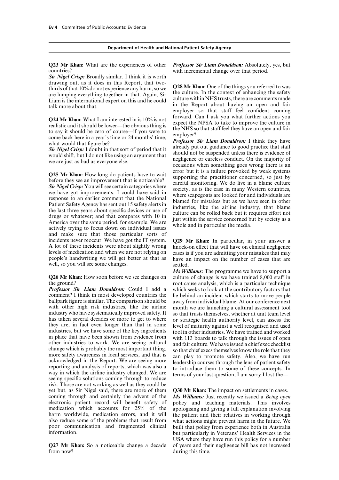**Q23 Mr Khan:** What are the experiences of other *Professor Sir Liam Donaldson:* Absolutely, yes, but countries? with incremental change over that period.

*Sir Nigel Crisp:* Broadly similar. I think it is worth drawing out, as it does in this Report, that two-<br>thirds of that 10% do not experience any harm, so we<br>are lumping everything together in that. Again, Sir<br>Liam is the international expert on this and he could<br>talk more abo

**Q25 Mr Khan:** How long do patients have to wait error but it is a failure provoked by weak systems before they see an improvement that is noticeable? Sir Nigel Crisp: You will see certain categories where society, as is and make sure that those particular sorts of incidents never reoccur. We have got the IT system. A lot of these incidents were about slightly wrong knock-on effect that will have on clinical negligence levels of medication and when we are not relying on cases is if you are admitting your mistakes that may levels of medication and when we are not relying on cases is if you are admitting your mistakes that may people's handwriting we will get better at that as have an impact on the number of cases that are well, so you will see some changes.

ballpark figure is similar. The comparison should be away from individual blame. At our conference next with other high risk industries, like the airline month we are launching a cultural assessment tool with other high risk industries, like the airline month we are launching a cultural assessment tool<br>industry who have systematically improved safety. It so that trusts themselves, whether at unit team level industry who have systematically improved safety. It so that trusts themselves, whether at unit team level<br>has taken several decades or more to get to where some strategic health authority level, can assess the has taken several decades or more to get to where or strategic health authority level, can assess the they are, in fact even longer than that in some level of maturity against a well recognised and used industries, but we in place that have been shown from evidence from with 113 boards to talk through the issues of open other industries to work. We are seeing cultural and fair culture. We have issued a chief exec checklist change which is p change which is probably the most important thing,<br>more safety awareness in local services, and that is<br>acknowledged in the Report. We are seeing more<br>acknowledged in the Report. We are seeing more<br>reporting and analysis o risk. Those are not working as well as they could be yet but, as Sir Nigel said, there are more of them **Q30 Mr Khan:** The impact on settlements in cases. coming through and certainly the advent of the *Ms Williams:* Just recently we issued a *Being open* electronic patient record will benefit safety of policy and teaching materials. This involves electronic patient record will benefit safety of policy and teaching materials. This involves medication which accounts for 25% of the apologising and giving a full explanation involving medication which accounts for 25% of the apologising and giving a full explanation involving harm worldwide, medication errors, and it will the patient and their relatives in working through harm worldwide, medication errors, and it will the patient and their relatives in working through also reduce some of the problems that result from what actions might prevent harm in the future. We poor communication and fragmented clinical built that policy from experience both in Australia<br>information.

in the Report about having an open and fair employer so that staff feel confident coming forward. Can I ask you what further actions you

**Q24 Mr Khan:** What I am interested in is  $10\%$  is not<br>realistic and it should be lower—the obvious thing is<br>to say it should be zero of course—if you were to<br>the NHS so that staff feel they have an open and fair<br>come ba

Q29 Mr Khan: In particular, in your answer a

*Ms Williams:* The programme we have to support a **Q26 Mr Khan:** How soon before we see changes on culture of change is we have trained 8,000 staff in the ground? The ground is a particular technique analysis, which is a particular technique *Professor Sir Liam Donaldson:* Could I add a which seeks to look at the contributory factors that comment? I think in most developed countries the lie behind an incident which starts to move people lie behind an incident which starts to move people

what actions might prevent harm in the future. We but particularly in Veterans' Health Services in the USA where they have run this policy for a number **Q27 Mr Khan:** So a noticeable change a decade of years and their negligence bill has not increased from now? during this time.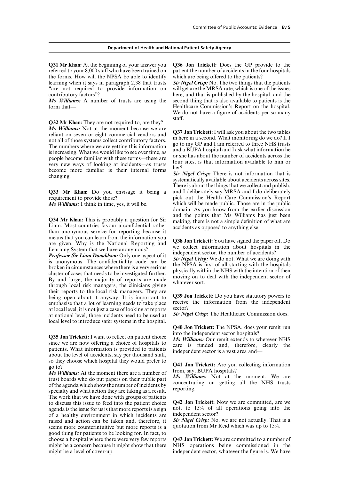**Q31 Mr Khan:** At the beginning of your answer you **Q36 Jon Trickett:** Does the GP provide to the referred to your 8,000 staff who have been trained on patient the number of accidents in the four hospitals the forms. How will the NPSA be able to identify which are being offered to the patients? learning when it says in paragraph 2.38 that trusts *Sir Nigel Crisp:* No. The two things that the patients "are not required to provide information on will get are the MRSA rate, which is one of the issues

**Q32 Mr Khan:** They are not required to, are they? staff. **Ms Williams:** Not at the moment because we are<br>reliant on seven or eight commercial vendors and<br>not all of those systems collect contributory factors.<br>The numbers where we are getting this information<br>is increasing. What

means that you can learn from the information you<br>are given. Why is the National Reporting and<br>Learning System that we have anonymous?<br>**Professor Sir Liam Donaldson:** Only one aspect of it<br>is anonymous. The confidentiality their reports to the local risk managers. They are being open about it anyway. It is important to **Q39 Jon Trickett:** Do you have statutory powers to emphasise that a lot of learning needs to take place receive the information from the independent emphasise that a lot of learning needs to take place<br>at local level, it is not just a case of looking at reports<br>at national level, those incidents need to be used at *Sir Nigel Crisp*: The Healthcare Commission does. local level to introduce safer systems in the hospital.

**Q35 Jon Trickett:** I want to reflect on patient choice the *Ms Williams:* Our remit extends to wherever NHS since we are now offering a choice of hospitals to care is funded and, therefore, clearly the about the level of so they choose which hospital they would prefer to<br>go to?<br>M<sub>s</sub> Williams: At the moment there are a number of from, say, BUPA hospitals?

*Ms Williams:* At the moment there are a number of  $M_s$  *Williams:* Not at the moment. We are trust boards who do put papers on their public part  $M_s$  *Williams:* Not at the moment. We are of the agenda which show the num The work that we have done with groups of patients to discuss this issue to feed into the patient choice  $Q_{42}$  Jon Trickett: Now we are committed, are we agenda is the issue for us is that more reports is a sign not, to  $15%$  of all operations going into the agenda is the issue for us is that more reports is a sign not, to  $15\%$  of a<br>of a healthy environment in which incidents are independent sector? of a healthy environment in which incidents are independent sector?<br>raised and action can be taken and, therefore, it **Sir Nigel Crisp:** No, we are not actually. That is a raised and action can be taken and, therefore, it **Sir Nigel Crisp:** No, we are not actually. That seems more counterintuitive but more reports is a quotation from Mr Reid which was up to 15%. seems more counterintuitive but more reports is a good thing for patients to be looking for. In fact, to choose a hospital where there were very few reports **Q43 Jon Trickett:** We are committed to a number of might be a concern because it might show that there NHS operations being commissioned in the might be a concern because it might show that there NHS operations being commissioned in the might be a level of cover-up.<br>Independent sector, whatever the figure is. We have

contributory factors"? here, and that is published by the hospital, and the *Ms Williams:* A number of trusts are using the second thing that is also available to patients is the form that— **Healthcare Commission's Report on the hospital.** We do not have a figure of accidents per so many

There is about the things that we collect and publish, **Q33 Mr Khan:** Do you envisage it being a and I deliberately say MRSA and I do deliberately requirement to provide those? pick out the Health Care Commission's Report *Ms Williams:* I think in time, yes, it will be. which will be made public. Those are in the public domain. As you know from the earlier discussion **Q34 Mr Khan:** This is probably a question for Sir<br>Liam. Most countries favour a confidential rather<br>than anonymous service for reporting because it

**Q40 Jon Trickett:** The NPSA, does your remit run into the independent sector hospitals?

independent sector, whatever the figure is. We have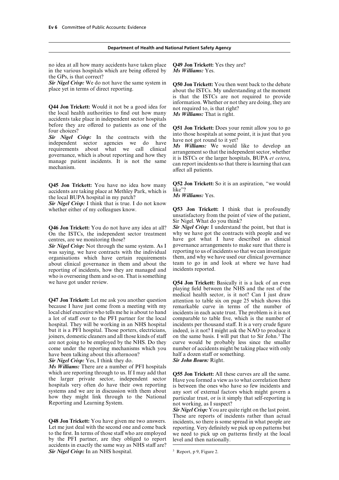no idea at all how many accidents have taken place **Q49 Jon Trickett:** Yes they are? in the various hospitals which are being offered by *Ms Williams:* Yes. the GPs, is that correct?

**Sir Nigel Crisp:** We do not have the same system in **Q50 Jon Trickett:** You then went back to the debate place yet in terms of direct reporting.

**Q44 Jon Trickett:** Would it not be a good idea for<br>the local health authorities to find out how many the local health authorities to find out how many  $\overrightarrow{Ms}$  Williams: That is right.<br>accidents take place in independent

before they are offered to patients as one of the<br>four choices?<br>**Sir** Nigel Crisp: In the contracts with the into those hospitals at some point, it is just that you<br>independent sector agencies we do have have not got round

accidents are taking place at Methley Park, which is *IIKe<sup>77</sup> the local BUPA hospital in my patch? Ms Williams:* Yes.

*Sir Nigel Crisp:* I think that is true. I do not know whether either of my colleagues know. **Q53 Jon Trickett:** I think that is profoundly

**Q46 Jon Trickett:** You do not have any idea at all? *Sir Nigel Crisp:* I understand the point, but that is On the ISTCs, the independent sector treatment why we have got the contracts with people and we On the ISTCs, the independent sector treatment centres, are we monitoring those?

was saying, we have contracts with the individual reporting to us of incidents so that we can investigate<br>organisations which have certain requirements them, and why we have used our clinical governance organisations which have certain requirements about clinical governance in them and about the team to go in and look at where we have had reporting of incidents how they are managed and incidents reported. reporting of incidents, how they are managed and who is overseeing them and so on. That is something

**Q47 Jon Trickett:** Let me ask you another question attention to table six on page 25 which shows this because I have just come from a meeting with my remarkable curve in terms of the number of local chief executive who tells me he is about to hand incidents in each acute trust. The problem is it is not a lot of staff over to the PFI partner for the local hospital. They will be working in an NHS hospital incidents per thousand staff. It is a very crude figure but it is a PFI hospital. Those porters, electricians, indeed, is it not? I might ask the NAO to produce it but it is a PFI hospital. Those porters, electricians, joiners, domestic cleaners and all those kinds of staff joiners, domestic cleaners and all those kinds of staff on the same basis. I will put that to Sir John.<sup>3</sup> The are not going to be employed by the NHS. Do they curve would be probably less since the smaller come under the reporting mechanisms which you number of accidents might be taking place with only

*Sir Nigel Crisp:* Yes, I think they do.

*Ms Williams:* There are a number of PFI hospitals which are reporting through to us. If I may add that which are reporting through to us. If I may add that **Q55 Jon Trickett:** All these curves are all the same.<br>the larger private sector, independent sector Have you formed a view as to what correlation there the larger private sector, independent sector Have you formed a view as to what correlation there hospitals very often do have their own reporting is between the ones who have so few incidents and systems and we are in dis

Let me just deal with the second one and come back reporting. Very definitely we pick up on patterns but to the first. In terms of those staff who are employed we need to pick up on patterns firstly at the local by the PFI partner, are they obliged to report level and then nationally. accidents in exactly the same way as NHS staff are? *Sir Nigel Crisp:* In an NHS hospital. <sup>3</sup> Report, p 9, Figure 2.

about the ISTCs. My understanding at the moment is that the ISTCs are not required to provide

**Q45 Jon Trickett:** You have no idea how many **Q52 Jon Trickett:** So it is an aspiration, "we would

unsatisfactory from the point of view of the patient, Sir Nigel. What do you think?

have got what I have described as clinical governance arrangements to make sure that there is *Sir Nigel Crisp:* Not through the same system. As I governance arrangements to make sure that there is was saying we have contracts with the individual reporting to us of incidents so that we can investigate

we have got under review. **Q54 Jon Trickett:** Basically it is a lack of an even playing field between the NHS and the rest of the medical health sector, is it not? Can I just draw incidents in each acute trust. The problem is it is not comparable to table five, which is the number of curve would be probably less since the smaller have been talking about this afternoon? half a dozen staff or something.<br> **Sir Nigel Crisn:** Yes. I think they do.<br> **Sir John Bourn:** Right.

how they might link through to the National particular trust, or is it simply that self-reporting is Reporting and Learning System.

*Sir Nigel Crisp:* You are quite right on the last point. These are reports of incidents rather than actual **Q48 Jon Trickett:** You have given me two answers. incidents, so there is some spread in what people are Let me just deal with the second one and come back reporting. Very definitely we pick up on patterns but we need to pick up on patterns firstly at the local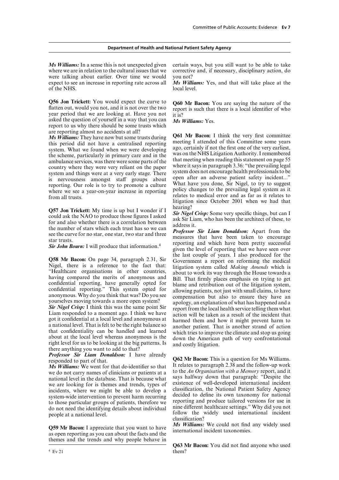*Ms Williams:* In a sense this is not unexpected given certain ways, but you still want to be able to take where we are in relation to the cultural issues that we corrective and, if necessary, disciplinary action, do were talking about earlier. Over time we would you not? expect to see an increase in reporting rate across all *Ms Williams:* Yes, and that will take place at the of the NHS. local level.

**Q56 Jon Trickett:** You would expect the curve to  $Q60$  Mr Bacon: You are saying the nature of the flatten out, would you not, and it is not over the two report is such that there is a local identifier of who year period asked the question of yourself in a way that you can *Ms Williams:* Yes. report to us why there should be some trusts which are reporting almost no accidents at all?<br>*Ms Williams:* They have now but some trusts during

reporting. Our role is to try to promote a culture<br>what have you done, Sir Nigel, to try to suggest<br>where we see a year-on-year increase in reporting policy changes to the prevailing legal system as it<br>relates to medical e

**Q57 Jon Trickett:** My time is up but I wonder if I<br>could ask the NAO to produce those figures I asked<br>for and also whether there is a correlation between<br>the number of stars which each trust has so we can<br>see the curve f

got it confidential at a local level and anonymous at<br>a national level. That is felt to be the right balance so<br>that confidentiality can be handled and learned<br>about at the local level whereas anonymous is the<br>right level

*Ms Williams:* We went for that de-identifier so that It relates to paragraph 2.38 and the follow-up work<br>We do not carry names of clinicians or patients at a to the *An Organisation with a Memory* report, and it we do not carry names of clinicians or patients at a we do not early half the database. That is because what says halfway down that paragraph: "Despite the national level in the database. That is because what we are looking for is themes and trends types of existence of well we are looking for is themes and trends, types of existence of well-developed international incident<br>incidents, where we might be able to develop a classification, the National Patient Safety Agency

themes and the trends and why people behave in

**Ms Williams:** They have now but some trusts during **Q61** Mr **Bacon:** I think the very first committee this period did not have a centralised reporting meeting I attended of this Committee some years system. What we found relates to medical error and as far as it relates to litigation since October 2001 when we had that

given the level of reporting that we have seen over the last couple of years. I also produced for the **Q58 Mr Bacon:** On page 34, paragraph 2.31, Sir<br>Nigel, there is a reference to the fact that:<br>"Healthcare organisations in other countries,<br>about to work its way through the House towards a<br>Healthcare organisations in oth "Healthcare organisations in other countries,<br>having compared the merits of anonymous and<br>confidential reporting, have generally opted for<br>confidential reporting." This system opted for<br>anonymous. Why do you think that was

**Professor Sir Liam Donaldson:** I have already<br>**Professor Sir Liam Donaldson:** I have already<br>**Q62 Mr Bacon:** This is a question for Ms Williams.<br>*Ms Williams:* We went for that de-identifier so that It relates to paragrap incidents, where we might be able to develop a<br>system-wide intervention to prevent harm recurring<br>to those particular groups of patients, therefore we<br>do not need the identifying details about individual<br>people at a nation

**Q59 Mr Bacon:** I appreciate that you want to have Ms **Williams:** We could not find any widely used as open reporting as you can about the facts and the international incident taxonomies.

**Q63 Mr Bacon:** You did not find anyone who used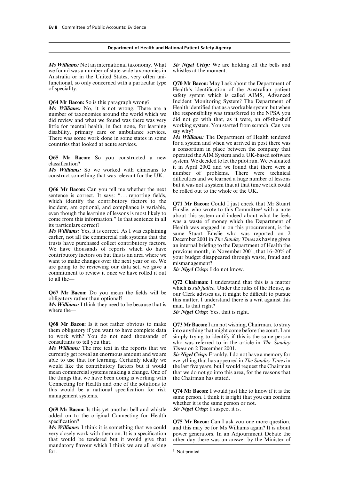we found was a number of state-wide taxonomies in whistles at the moment. Australia or in the United States, very often unifunctional, so only concerned with a particular type **Q70 Mr Bacon:** May I ask about the Department of of speciality. Health's identification of the Australian patient

number of taxonomies around the world which we did review and what we found was there was very did not go with that, as it were, an off-the-shelf little for mental health, in fact none, for learning working system. You started from scratch. Can you disability primary care or ambulance services say why? disability, primary care or ambulance services. There was some work done in some states in some *Ms Williams:* The Department of Health tendered countries that looked at acute services for a system and when we arrived in post there was

sentence is correct. It says: "... reporting fields,

**Q68 Mr Bacon:** Is it not rather obvious to make **Q73 Mr Bacon:** I am not wishing, Chairman, to stray them obligatory if you want to have complete data into anything that might come before the court. I am them obligatory if you want to have complete data into anything that might come before the court. I am<br>to work with? You do not need thousands of simply trying to identify if this is the same person to work with? You do not need thousands of simply trying to identify if this is the same person consultants to tell you that.<br>who was referred to in the article in *The Sunday* 

*Ms Williams:* The free text in the reports that we *Times* on 2 December 2001. currently get reveal an enormous amount and we are *Sir Nigel Crisp:* Frankly, I do not have a memory for able to use that for learning. Certainly ideally we everything that has appeared in *The Sunday Times* in able to use that for learning. Certainly ideally we everything that has appeared in *The Sunday Times*in mean commercial systems making a change. One of that we do not go into this area, for the reasons that the things that we have been doing is working with the Chairman has stated. Connecting for Health and one of the solutions to this would be a national specification for risk **Q74 Mr Bacon:** I would just like to know if it is the management systems.

**Q69 Mr Bacon:** Is this yet another bell and whistle *Sir Nigel Crisp:* I suspect it is. added on to the original Connecting for Health

that would be tendered but it would give that other day there was an answer by the Minister of mandatory flavour which I think we are all asking

*Ms Williams:* Not an international taxonomy. What *Sir Nigel Crisp:* We are holding off the bells and

safety system which is called AIMS, Advanced **Q64 Mr Bacon:** So is this paragraph wrong? Incident Monitoring System? The Department of  $M_s$  Williams: No it is not wrong. There are a Health identified that as a workable system but when *Ms Williams:* No, it is not wrong. There are a Health identified that as a workable system but when number of taxonomies around the world which we the responsibility was transferred to the NPSA you

for a system and when we arrived in post there was a consortium in place between the company that **Q65 Mr Bacon:** So you constructed a new operated the AIM System and a UK-based software<br>classification?<br>*Ms Williams:* So we worked with clinicians to it in April 2002 and we found that there were a<br>construct something th but it was not a system that at that time we felt could **Q66 Mr Bacon:** Can you tell me whether the next be rolled out to the whole of the UK.

which identify the contributory factors to the<br>
incident, are optional, and compliance is variable,<br>
even though the learning of lessons is most likely to<br>
its particulars correct?<br>
its particulars correct?<br>
its particula

to all the—<br> **Q72 Chairman:** I understand that this is a matter<br>
which is *sub judice*. Under the rules of the House, as **Q67 Mr Bacon:** Do you mean the fields will be<br>
obligatory rather than optional?<br>
Ms **Williams:** I think they need to be because that is<br>
man. Is that right?<br>
Sir Nigel Crisp: Yes, that is right.

who was referred to in the article in *The Sunday* 

the last five years, but I would request the Chairman

same person. I think it is right that you can confirm whether it is the same person or not.

specification?<br>*Ms Williams:* I think it is something that we could and this may be for Ms Williams again? It is about *Ms Williams:* I think it is something that we could and this may be for Ms Williams again? It is about very closely work with them on. It is a specification power generators. In an Adjournment Debate the power generators. In an Adjournment Debate the

<sup>&</sup>lt;sup>5</sup> Not printed.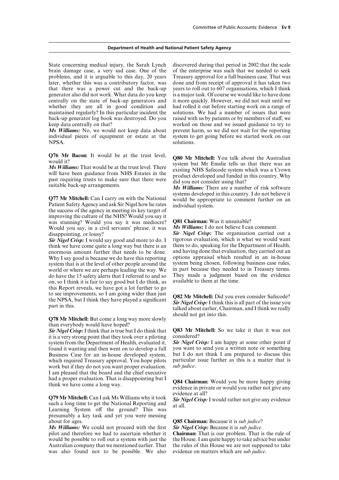brain damage case, a very sad case. One of the of the enterprise was such that we needed to seek problems, and it is arguable to this day, 20 years Treasury approval for a full business case. That was later, whether this was a contributory factor, was done and from receipt of approval it has taken two that there was a power cut and the back-up years to roll out to 607 organisations, which I think generator also did not work. What data do you keep is a major task. Of course we would like to have done centrally on the state of back-up generators and it more quickly. However, we did not wait until we whether they are all in good condition and had rolled it out before starting work on a range of maintained regularly? In this particular incident the solutions. We had a number of issues that were back-up generator log book was destroyed. Do you raised with us by patients or by members of staff, we keep data centrally on that? worked on those and we issued guidance to try to

individual pieces of equipment or estate at the system to get going before we started work on our NPSA.

improving the culture of the NHS? Would you say it was stunning? Would you say it was mediocre? **Q81 Chairman:** Was it unsuitable?<br>Would you say in a civil servants' phrase it was *Ms Williams:* I do not believe I can comment. Would you say, in a civil servants' phrase, it was disappointing, or lousy?

think we have come quite a long way but there is an them to do, speaking for the Department of Health, enormous amount further that needs to be done and having done that evaluation, they carried out an enormous amount further that needs to be done. and having done that evaluation, they carried out an which I say good is because we do have this reporting options appraisal which resulted in an in-house Why I say good is because we do have this reporting options appraisal which resulted in an in-house system that is at the level of other people around the system being chosen, following business case rules, system that is at the level of other people around the system being chosen, following business case rules, world or where we are perhaps leading the way. We in part because they needed to in Treasury terms. world or where we are perhaps leading the way. We in part because they needed to in Treasury terms.<br>do have the 15 safety alerts that I referred to and so They made a judgment based on the evidence do have the 15 safety alerts that I referred to and so They made a judgment based on so I think it is fair to say good but I do think as available to them at the time. on, so I think it is fair to say good but I do think, as this Report reveals, we have got a lot further to go to see improvements, so I am going wider than just<br>the NPSA, but I think they have played a significant<br> $\frac{Sir \text{ Nigel Crisp: I think this is all part of the issue you} {alked about earlier, Chairman, and I think we really}$ 

should not get into this. **Q78 Mr Mitchell:** But come a long way more slowly than everybody would have hoped?

it is a very strong point that they took over a piloting considered?<br>system from the Department of Health, evaluated it. **Sir Nigel Crisp:** I am happy at some other point if system from the Department of Health, evaluated it, *Sir Nigel Crisp*: I am happy at some other point if found it wanting and then went on to develop a full vou want to send you a written note or something found it wanting and then went on to develop a full you want to send you a written note or something Business Case for an in-house developed system, but I do not think I am prepared to discuss this Business Case for an in-house developed system, but I do not think I am prepared to discuss this which required Treasury approval. You hope pilots particular issue further as this is a matter that is which required Treasury approval. You hope pilots work but if they do not you want proper evaluation. *sub judice*. I am pleased that the board and the chief executive

**Q79 Mr Mitchell:** Can I ask Ms Williams why it took *Sir Nigel Crisp*: I would rather not give any evidence such a long time to get the National Reporting and *Sir Nigel Crisp*: I would rather not give any evidence Learni presumably a key task and yet you were messing

*Ms Williams:* We could not proceed with the first *Sir Nigel Crisp:* Because it is *sub judice*. pilot and therefore we had to ascertain whether it **Chairman:** That is our problem. That is the rule of would be possible to roll out a system with just the the House. I am quite happy to take advice but under would be possible to roll out a system with just the the House. I am quite happy to take advice but under Australian company that we mentioned earlier. That the rules of this House we are not supposed to take Australian company that we mentioned earlier. That the rules of this House we are not suppos was also found not to be possible. We also evidence on matters which are *sub judice*. was also found not to be possible. We also

State concerning medical injury, the Sarah Lynch discovered during that period in 2002 that the scale *Ms Williams:* No, we would not keep data about prevent harm, so we did not wait for the reporting individual pieces of equipment or estate at the system to get going before we started work on our solutions

**Q76 Mr Bacon:** It would be at the trust level,<br>would it?<br>Ms Williams: That would be at the trust level. There<br>will have been guidance from NHS Estates in the<br>past requiring trusts to make sure that there were<br>suitable bac

**Q77 Mr Mitchell:** Can I carry on with the National<br>Patient Safety Agency and ask Sir Nigel how he rates<br>the success of the agency in meeting its key target of<br>the success of the agency in meeting its key target of

**Sir Nigel Crisp:** The organisation carried out a rigorous evaluation, which is what we would want *Sir Nigel Crisp:* I would say good and more to do. I rigorous evaluation, which is what we would want think we have come quite a long way but there is an them to do, speaking for the Department of Health,

*Sir Nigel Crisp:* I think that is true but I do think that **Q83 Mr Mitchell:** So we take it that it was not it is a very strong point that they took over a piloting considered?

had a proper evaluation. That is disappointing but I **Q84 Chairman:** Would you be more happy giving think we have come a long way. **COS4** Chairman: Would you rather not give any evidence at all?

about for ages.<br>*Ms Williams:* We could not proceed with the first **Sir Nigel Crisp:** Because it is *sub judice*.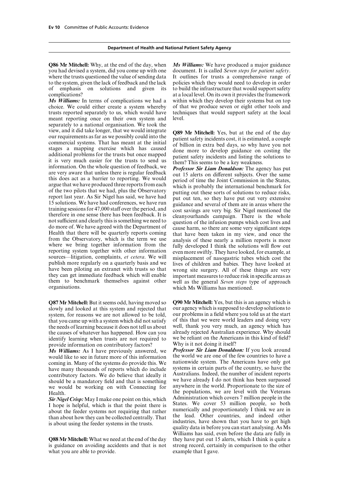**Q86 Mr Mitchell:** Why, at the end of the day, when *Ms Williams:* We have produced a major guidance you had devised a system, did you come up with one document. It is called *Seven steps for patient safety*. where the trusts questioned the value of sending data It outlines for trusts a comprehensive range of to the system, given the lack of feedback and the lack policies which they would need to develop in order of emphasis on solutions and given its to build the infrastructure that would support safety complications? at a local level. On its own it provides the framework

choice. We could either create a system whereby of that we produce seven or eight other tools and trusts reported separately to us, which would have techniques that would support safety at the local meant reporting once on their own system and level. separately to a national organisation. We took the view, and it did take longer, that we would integrate<br>
our requirements as far as we possibly could into the best particle and severation stages a mapping exercise which has caused of billion in extra bed days, so why have not sufficient and clearly this is something we need to<br>do more of. We have agreed with the Department of<br>do more of. We have agreed with the Department of<br>Health that there will be quarterly reports coming<br>that have been them to benchmark themselves against other well as the general *Seven steps* type of approach organisations. which Ms Williams has mentioned.

slowly and looked at this system and rejected that our agency which is supposed to develop solutions to system, for reasons we are not allowed to be told, our problems in a field where you told us at the start system, for reasons we are not allowed to be told, our problems in a field where you told us at the start that you came up with a system which did not satisfy of this that we were world leaders and doing very that you came up with a system which did not satisfy of this that we were world leaders and doing very<br>the needs of learning because it does not tell us about well, thank you very much, an agency which has the needs of learning because it does not tell us about well, thank you very much, an agency which has the causes of whatever has happened. How can you already rejected Australian experience. Why should the causes of whatever has happened. How can you already rejected Australian experience. Why should identify learning when trusts are not required to we be reliant on the Americans in this kind of field? identify learning when trusts are not required to we be reliant on the American in the intervalse information on contributory factors?

*Ms Williams:* As I have previously answered, we would like to see in future more of this information the world we are one of the few countries to have a coming in Many of the systems do provide this  $W_e$  nationwide system. The Americans have only got coming in. Many of the systems do provide this. We are nationally system. The Americans have only got coming to the systems in certain parts of the country, so have the have many thousands of reports which do include systems in certain parts of the country, so have the contributory factors. We do believe that ideally it Australians. Indeed, the number of incident reports contributory factors. We do believe that ideally it Australians. Indeed, the number of incident reports<br>should be a mandatory field and that is something we have already I do not think has been surpassed should be a mandatory field and that is something we would be working on with Connecting for anywhere in the world. Proportionate to the size of

what you are able to provide.

*Ms Williams:* In terms of complications we had a within which they develop their systems but on top

**Q87 Mr Mitchell:** But it seems odd, having moved so **Q90 Mr Mitchell:** Yes, but this is an agency which is slowly and looked at this system and rejected that our agency which is supposed to develop solutions to

provide information on contributory factors?<br>Ms Williams: As I have previously answered, we **Professor Sir Liam Donaldson:** If you look around Health.<br>
Health.<br>  $\frac{1}{2}$  Health.<br>  $\frac{1}{2}$  Health.<br>  $\frac{1}{2}$  Health.<br>  $\frac{1}{2}$  Health.<br>  $\frac{1}{2}$  Health.<br>  $\frac{1}{2}$  Health.<br>  $\frac{1}{2}$  Health.<br>  $\frac{1}{2}$  Health.<br>  $\frac{1}{2}$  Health. **Sir Nigel Crisp:** May I make one point on this, which about the following States. We cover 53 million people in the I hope is helpful, which is that the point there is States. We cover 53 million people, so both about the Williams has said, even before the data are fully in **Q88 Mr Mitchell:** What we need at the end of the day they have put out 15 alerts, which I think is quite a is guidance on avoiding accidents and that is not strong record, certainly in comparison to the other strong record, certainly in comparison to the other example that I gave.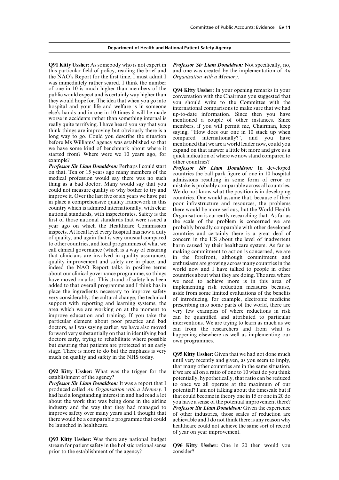**Q91 Kitty Ussher:** As somebody who is not expert in *Professor Sir Liam Donaldson:* Not specifically, no, this particular field of policy, reading the brief and and one was created by the implementation of *An* the NAO's Report for the first time, I must admit I *Organisation with a Memory*. was immediately rather scared. I think the number of one in 10 is much higher than members of the<br>
they vould conversation with the Chairman you suggested that<br>
they would hope for. The idea that when you go into<br>
the conversation with the Chairman you suggested that<br>
the

**Professor Sir Liam Donaldson:** Perhaps I could start<br>
moleculon that. Ten or 15 years ago many members of the<br>
medical professor Sir Liam Donaldson: In developed<br>
medical profession would say there was no such admissions to other countries, and local programmes of what we<br>call clinical governance (which is a way of ensuring<br>that clinicians are involved in quality assurance),<br>in the forefront, although commitment and<br>quality improvement and have moved on a lot. This strand of safety has been<br>added to that overall programme and I think has in implementing risk reduction measures because,<br>place the ingredients necessary to improve safety<br>aside from some limited very considerably: the cultural change, the technical<br>support with reporting and learning systems, the<br>area which we are working on at the moment to<br>improve education and training. If you take the<br>particular element about forward very substantially on that in identifying bad happening elsewhere as well as implementing our doctors early, trying to rehabilitate where possible own programmes. but ensuring that patients are protected at an earl stage. There is more to do but the emphasis is very **Q95 Kitty Ussher:** Given that we had not done much much on quality and safety in the NHS today. **Ussume** we recently and given, as you seem to imply,

*Professor Sir Liam Donaldson:* It was a report that I to once we all operate at the maximum of our produced called An Organisation with a Memory. I potential? I am not talking about the timescale but if produced called *An Organisation with a Memory*. I potential? I am not talking about the timescale but if<br>had had a longstanding interest in and had read a lot that could become in theory one in 15 or one in 20 do had had a longstanding interest in and had read a lot that could become in theory one in 15 or one in 20 do about the work that was being done in the airline you have a sense of the potential improvement there? about the work that was being done in the airline you have a sense of the potential improvement there?<br>industry and the way that they had managed to **Professor Sir Liam Donaldson:** Given the experience industry and the way that they had managed to *Professor Sir Liam Donaldson:* Given the experience improve safety over many years and I thought that of other industries, those scales of reduction are improve safety over many years and I thought that of other industries, those scales of reduction are there would be a comparable programme that could achievable and I do not think there is any reason why there would be a comparable programme that could achievable and I do not think there is any reason why<br>be launched in healthcare.<br>healthcare could not achieve the same sort of record

**Q93 Kitty Ussher:** Was there any national budget prior to the establishment of the agency?

that many other countries are in the same situation, **Q92 Kitty Ussher:** What was the trigger for the if we are all on a ratio of one to 10 what do you think establishment of the agency? establishment of the agency?<br> **Professor Sir Liam Donaldson:** It was a report that  $I_{\text{tot}}$  to once we all operate at the maximum of our healthcare could not achieve the same sort of record of year on year improvement.

Q96 Kitty Ussher: One in 20 then would you consider?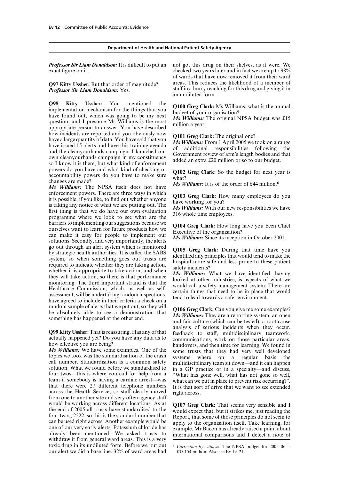*Professor Sir Liam Donaldson:* It is difficult to put an not got this drug on their shelves, as it were. We exact figure on it. checked two years later and in fact we are up to 98%

**Q98 Kitty Ussher:** You mentioned the **Q100 Greg Clark:** Ms Williams, what is the annual implementation mechanism for the things that you budget of your organisation?<br>have found out, which was going to be my next  $M_s$  Wil have a large quantity of data. You have said that you<br>have a large quantity of data. You have said that you<br>have issued 15 alerts and have this training agenda<br>and the cleanyourhands campaign. I launched our<br>own cleanyourh powers do you have and what kind of checking or<br>accountability powers do you have to make sure<br>changes are made?<br> $\frac{Ms}{W}$  Williams: It is of the order of £44 million.<sup>6</sup>

*Ms Williams:* The NPSA itself does not have enforcement powers. There are three ways in which<br>it is possible, if you like, to find out whether anyone<br>is taking any notice of what we are putting out. The<br>first thing is that we do have our own evaluation<br>programme whe barriers to implementing our suggestions because we<br>ourselves want to learn for future products how we<br>can make it easy for people to implement our<br>solutions. Secondly, and very importantly, the alerts<br> $\frac{Ms}{Willians}$ : Since go out through an alert system which is monitored<br>by strategic health authorities. It is called the SABS<br>system, so when something goes out trusts are<br>required to indicate whether they are taking action,<br>whether it is appr

that there were 27 different telephone numbers It is that sort of drive that we want to see extended across the Health Service, so staff clearly moved right across.<br>from one to another site and very often agency staff would be working across different locations. As at<br>the end of 2005 all trusts have standardised to the<br>four twos, 2222, so this is the standard number that<br>can be used right across. Another example would be<br>an be used righ toxic drug in its undiluted form. Before we put out 6 *Correction by witness:* The NPSA budget for 2005–06 is our alert we did a base line. 32% of ward areas had  $\qquad$  £35.154 million. Also see Ev 19–21 our alert we did a base line. 32% of ward areas had

of wards that have now removed it from their ward **Q97 Kitty Ussher:** But that order of magnitude? areas. This reduces the likelihood of a member of **Professor Sir Liam Donaldson:** Yes. staff in a hurry reaching for this drug and giving it in *Professor Staff in a hurry reaching for this drug and giving it in* an undiluted form.

random sample of alerts that we put out, so they will<br>be absolutely able to see a demonstration that<br>something has happened at the other end.<br>and fair culture (which can be tested), a root cause **Q99 Kitty Ussher:** That is reassuring. Has any of that analysis of serious incidents when they occur, actually happened yet? Do you have any data as to communications, work on those particular areas, handovers, and then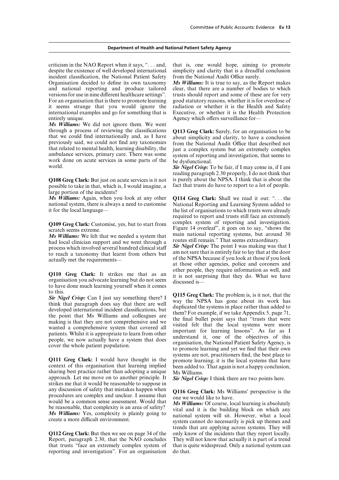criticism in the NAO Report when it says, ". . . and, that is, one would hope, aiming to promote despite the existence of well developed international simplicity and clarity that is a dreadful conclusion incident classification, the National Patient Safety from the National Audit Office surely. Organisation decided to define its own taxonomy *Ms Williams:* It is true to say, as the Report makes and national reporting and produce tailored clear, that there are a number of bodies to which versions for use in nine different healthcare settings". trusts should report and some of these are for very For an organisation that is there to promote learning good statutory reasons, whether it is for overdose of it seems strange that you would ignore the radiation or whether it is the Health and Safety international examples and go for something that is Executive, or whether it is the Health Protection entirely unique. The same of the sense of the Agency which offers surveillance for—

*Ms Williams:* We did not ignore them. We went through a process of reviewing the classifications<br>that we could find internationally and, as I have<br>previously said, we could not find any taxonomies<br>that related to mental health, learning disability, the<br>inst a complex that related to mental health, learning disability, the just a complex system but an extremely complex<br>ambulance services, primary care. There was some system of reporting and investigation, that seems to<br>work done on acut

possible to take in that, which is, I would imagine, a large portion of the incidents?

national system, there is always a need to customise National Reporting and Learning System added to

Q109 Greg Clark: Customise, yes, but to start from

*Ms Williams:* We felt that we needed a system that main national reporting systems, but around bad local clinician support and we went through a routes still remain." That seems extraordinary. routes still remain." That seems extraordinary.<br>
process which involved several hundred clinical staff **Sir Nigel Crisp:** The point I was making was that I<br>
to reach a taxonomy that learnt from others but<br>
am not sure that

to have done much learning yourself when it comes

**Q111 Greg Clark:** I would have thought in the promote learning; it is the local systems that have context of this organisation that learning implied been added to. That again is not a happy conclusion, sharing best practi approach. Let me move on to another principle. It *Sir Nigel Crisp:* I think there are two points here. strikes me that it would be reasonable to suppose in any discussion of safety that mistakes happen when<br>procedures are complex and unclear. I assume that<br>would that<br>be reasonable, that complexity is an area of safety?<br>*Ms Williams:* Of course, local learning is absolutely<br>*M* 

**Q112 Greg Clark:** But then we see on page 34 of the Report, paragraph 2.30, that the NAO concludes that trusts "face an extremely complex system of that is quite reporting and investigation". For an organisation do that. reporting and investigation". For an organisation

reading paragraph 2.30 properly, I do not think that **Q108 Greg Clark:** But just on acute services is it not is purely about the NPSA. I think that is about the nossible to take in that which is I would imagine a fact that trusts do have to report to a lot of people.

*Ms Williams:* Again, when you look at any other **Q114 Greg Clark:** Shall we read it out: ". . . the it for the local language— the list of organisations to which trusts were already required to report and trusts still face an extremely complex system of reporting and investigation. Figure 14 overleaf", it goes on to say, "shows the<br>scratch seems extreme.<br>Ms Williams: We felt that we needed a system that main national reporting systems, but around 30

to reach a taxonomy that learnt from others but<br>actually met the requirements—<br>actually met the requirements—<br>at those other agencies, police and coroners and **Q110 Greg Clark:** It strikes me that as an it is not surprising that they do. What we have organisation you advocate learning but do not seem discussed is—

**Sir Nigel Crisp:** Can I just say something there? I<br>
to this.<br>
think that paragraph does say that there are well<br>
the way the NPSA has gone about its work has<br>
developed international incident classifications, but<br>
develo systems are not, practitioners find, the best place to

trends that are applying across systems. They will They will not know that actually it is part of a trend that is quite widespread. Only a national system can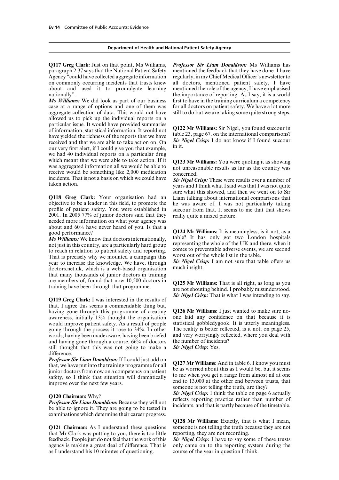**Q117 Greg Clark:** Just on that point, Ms Williams, *Professor Sir Liam Donaldson:* Ms Williams has paragraph 2.37 says that the National Patient Safety mentioned the feedback that they have done. I have Agency "could have collected aggregate information regularly, in my Chief Medical Officer's newsletter to on commonly occurring incidents that trusts knew all doctors, mentioned patient safety, I have about and used it to promulgate learning mentioned the role of the agency, I have emphasised

case at a range of options and one of them was for all doctors on patient safety. We have a lot more aggregate collection of data. This would not have still to do but we are taking some quite strong steps. allowed us to pick up the individual reports on a particular issue. It would have provided summaries<br>of information, statistical information. It would not<br>have yielded the richness of the reports that we have<br>received and that we are able to take action on. On<br>our very f we had 40 individual reports on a particular drug<br>which meant that we were able to take action. If it which meant that we were able to take action. If it<br>was aggregated information all we would be able to<br>receive would be something like 2,000 medication<br>incidents. That is not a basis on which we could have<br> $\frac{S_{ij}N_{ij}N_{ij$ incidents. That is not a basis on which we could have *Sir Nigel Crisp:* These were results over a number of

objective to be a leader in this field, to promote the he was aware of. I was not particularly taking profile of patient safety. You were established in succour from that. It seems to me that that shows  $2001$ . In  $2005$  77% of junior doctors said that they needed more information on what your agency was<br>about and 60% have never heard of you. Is that a

*Ms Williams:* We know that doctors internationally, representing the whole of the UK and there, when it<br>not just in this country, are a particularly hard group<br>to reach in relation to patient safety and reporting.<br>That is precisely why we mounted a campaign this worst out o That is precisely why we mounted a campaign this worst out of the whole list in the table.<br>Vear to increase the knowledge. We have, through **Sir Nigel Crisp:** I am not sure that table offers us year to increase the knowledge. We have, through **Sir Nigel Cris**<br>doctors net uk, which is a web-based organisation much insight. doctors.net.uk, which is a web-based organisation that many thousands of junior doctors in training are members of, found that now 10,500 doctors in **Q125 Mr Williams:** That is all right, as long as you training have been through that programme. **are not shouting behind.** I probably misunderstood.

*Sir Nigel Crisp:* That is what I was intending to say. **Q119 Greg Clark:** I was interested in the results of that. I agree this seems a commendable thing but, having gone through this programme of creating **Q126 Mr Williams:** I just wanted to make sure no-<br>awareness, initially 13% thought the organisation one laid any confidence on that because it is awareness, initially 13% thought the organisation one laid any confidence on that because it is would improve patient safety. As a result of people statistical gobbledy gook. It is utterly meaningless. would improve patient safety. As a result of people statistical gobbledygook. It is utterly meaningless.<br>going through the process it rose to 34%. In other The reality is better reflected, is it not, on page 25, going through the process it rose to 34%. In other The reality is better reflected, is it not, on page 25, words, having been made aware, having been briefed and very worryingly reflected, where you deal with words, having been made aware, having been briefed and very worryingly reflected and having gone through a course.  $66\%$  of doctors the number of incidents? and having gone through a course,  $66%$  of doctors the number of incidents still thought that this was not going to make a **Sir Nigel Crisp:** Yes. still thought that this was not going to make a difference.

examinations which determine their career progress.

**Q121 Chairman:** As I understand these questions someone is not telling the truth be that Mr Clark was putting to you, there is too little reporting, they are not recording. that Mr Clark was putting to you, there is too little reporting, they are not recording.<br>feedback. People just do not feel that the work of this Sir Nigel Crisp: I have to say some of these trusts feedback. People just do not feel that the work of this agency is making a great deal of difference. That is as I understand his 10 minutes of questioning.

nationally". the importance of reporting. As I say, it is a world *Ms Williams:* We did look as part of our business first to have in the training curriculum a competency

years and I think what I said was that I was not quite sure what this showed, and then we went on to Sir **Q118 Greg Clark:** Your organisation had an Liam talking about international comparisons that objective to be a leader in this field, to promote the he was aware of. I was not particularly taking succour from that. It seems to me that that shows really quite a mixed picture.

about and 60% **and 60% have never heard of the G124 Mr Williams:** It is meaningless, is it not, as a good performance?<br> **Alset Williams:** We know that doctors internationally table? It has only got two London hospitals

**Professor Sir Liam Donaldson:** If I could just add on<br>that, we have put into the training programme for all<br>junior doctors from now on a competency on patient<br>safety, so I think that situation will dramatically<br>interval t

**Q120 Chairman:** Why?<br>*Professor Sir Liam Donaldson:* Because they will not reflects reporting practice rather than number of be able to ignore it. They are going to be tested in

**Q128 Mr Williams:** Exactly, that is what I mean, someone is not telling the truth because they are not

only came on to the reporting system during the course of the year in question I think.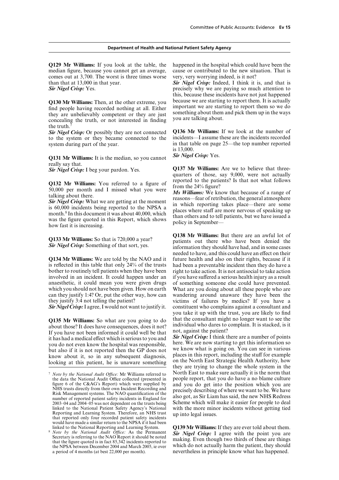**Q129 Mr Williams:** If you look at the table, the happened in the hospital which could have been the comes out at 3,700. The worst is three times worse very, very worrying indeed, is it not? than that at 13,000 in that year. *Sir Nigel Crisp:* Indeed, I think it is, and that is

Q130 Mr Williams: Then, at the other extreme, you because we are starting to report them. It is actually find people having recorded nothing at all. Either important we are starting to report them so we do they are unbelie the truth.

to the system or they became connected to the system during part of the year. in that table on page 25—the top number reported

*Sir Nigel Crisp:* Yes. **Q131 Mr Williams:** It is the median, so you cannot really say that.

is reflected in this table that only 24% of the trusts had been a preventable incident then they do have a bother to routinely tell patients when they have been right to take action. It is not antisocial to take action<br>involved in an incident. It could happen under an if you have suffered a serious health injury as a result involved in an incident. It could happen under an if you have suffered a serious health injury as a result anaesthetic, it could mean you were given drugs of something someone else could have prevented. which you should not have been given. How on earth What are you doing about all these people who are can they justify 1:4? Or, put the other way, how can wandering around unaware they have been the they justify 3:4 not telling the patient? victims of failures by medics? If you have a

**Q135 Mr Williams:** So what are you going to do<br>about those? It does have consequences, does it not?<br>If you have not been informed it could well be that<br>it has had a medical effect which is serious to you and<br>you do not ev

median figure, because you cannot get an average, cause or contributed to the new situation. That is

**Sir Nigel Crisp:** Yes. **precisely why we are paying so much attention to** precisely why we are paying so much attention to this, because these incidents have not just happened

**Sir Nigel Crisp:** Or possibly they are not connected **Q136 Mr Williams:** If we look at the number of to the system or they became connected to the incidents—I assume these are the incidents recorded is 13,000.

*Sir Nigel Crisp:* I beg your pardon. Yes. **Q137 Mr Williams:** Are we to believe that three-<br>quarters of those, say 9,000, were not actually<br> $\overline{O}$  and  $\overline{O}$  and  $\overline{O}$  is that not what follows

**Q132 Mr Williams:** You referred to a figure of<br>50,000 per month and I missed what you were<br>talking about there.<br>**Sir Nigel Crisp:** What we are getting at the moment<br>is 60,000 incidents being reported to the NPSA a<br>month.

**Q138 Mr Williams:** But there are an awful lot of **Q133 Mr Williams:** So that is 720,000 a year?<br>**Sir Nigel Crisp:** Something of that sort, yes.<br>information they should have had, and in some cases needed to have, and this could have an effect on their **Q134 Mr Williams:** We are told by the NAO and it future health and also on their rights, because if it of something someone else could have prevented. *Sir Nigel Crisp:*I agree, I would not want to justify it. constituent who complains against a consultant and you take it up with the trust, you are likely to find

know about it, so in any subsequent diagnosis, places in this report, including the stuff for example looking at this patient, he is unaware something on the North East Strategic Health Authority, how they are trying to change the whole system in the *T Note by the National Audit Office:* Mr Williams referred to **North East to make sure actually it is the norm that** the data the National Audit Office collected (presented in people report, that you do have a no blame the data the National Audit Office collected (presented in people report, that you do have a no blame culture figure 6 of the C&AG's Report) which were supplied by and you do get into the position which you are figure 6 of the C&AG's Report) which were supplied by<br>
MHS trusts directly from their own Incident Recording and<br>
Risk Management systems. The NAO quantification of the<br>
recisely describing of where we want to be. We have<br>

linked to the National Reporting and Learning System. <br>
O139 Mr Williams: If they are ever told about them.<br> *Note by the National Audit Office:* As the Permanent **Sir Nigel Crisp:** I agree with the point you are Secretar nevertheless in principle know what has happened.

<sup>2003–04</sup> and 2004–05 was not dependent on the trusts being linked to the National Patient Safety Agency's National linked to the National Patient Safety Agency's National with the more minor incidents without getting tied<br>Reporting and Learning System. Therefore, an NHS trust up into legal issues.<br>that reported only four recorded patie would have made a similar return to the NPSA if it had been linked to the National Reporting and Learning System.

the NPSA between December 2004 and March 2005, ie over a period of 4 months (at best 22,000 per month).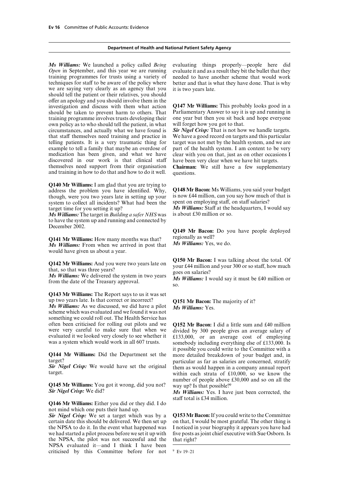*Open* in September, and this year we are running evaluate it and as a result they bit the bullet that they training programmes for trusts using a variety of needed to have another scheme that would work techniques for staff to be aware of the policy where better and that is what they have done. That is why we are saying very clearly as an agency that you it is two years late. should tell the patient or their relatives, you should offer an apology and you should involve them in the investigation and discuss with them what action **Q147 Mr Williams:** This probably looks good in a should be taken to prevent harm to others. That Parliamentary Answer to say it is up and running in training programme involves trusts developing their one year but then you sit back and hope everyone training programme involves trusts developing their one year but then you sit back own policy as to who should tell the patient, in what will forget how you got to that. own policy as to who should tell the patient, in what will forget how you got to that.<br>circumstances, and actually what we have found is **Sir Nigel Crisp:** That is not how we handle targets. circumstances, and actually what we have found is *Sir Nigel Crisp:* That is not how we handle targets. that staff themselves need training and practice in We have a good record on targets and this particular telling patients. It is a very traumatic thing for target was not met by the health system, and we are telling patients. It is a very traumatic thing for example to tell a family that maybe an overdose of part of the health system. I am content to be very medication has been given, and what we have clear with you on that, just as on other occasions I discovered in our work is that clinical staff have been very clear when we have hit targets.<br>themselves need support from their organisation **Chairman:** We still have a few supplement and training in how to do that and how to do it well. questions.

**Q140 Mr Williams:** I am glad that you are trying to address the problem you have identified. Why,  $Q148 \text{ Mr}$  **Bacon:** Ms Williams, you said your budget though, were you two years late in setting up your is now £44 million, can you say how much of that is though, were you two years late in setting up your is now  $\text{\pounds}44$  million, can you say how much system to collect all incidents? What had been the spent on employing staff, on staff salaries? system to collect all incidents? What had been the target time for you setting it up?

 $\overline{Ms}$  *Williams:* The target in *Building a safer NHS* was to have the system up and running and connected by December 2002.

**Q141 Mr Williams:** How many months was that? regionally as well?<br>*Ms Williams:* From when we arrived in post that *Ms Williams:* Yes, we do.  $\overline{Ms}$  Williams: From when we arrived in post that would have given us about a year.

**Q143 Mr Williams:** The Report says to us it was set

scheme which was evaluated and we found it was not something we could roll out. The Health Service has often been criticised for rolling out pilots and we often been criticised for rolling out pilots and we **Q152 Mr Bacon:** I did a little sum and £40 million were very careful to make sure that when we divided by 300 people gives an average salary of evaluated it we looked very closely to see whether it  $f(133.000)$  or an average cost of employing evaluated it we looked very closely to see whether it £133,000, or an average cost of employing was a system which would work in all 607 trusts. Somebody including everything else of £133,000. Is

**Q144 Mr Williams:** Did the Department set the more detailed breakdown of your budget and, in

**Q145 Mr Williams:** You got it wrong, did you not? way up? Is that possible?<sup>9</sup><br>Sir Nigel Crisp: We did? Ms Williams: Yes I have

**Q146 Mr Williams:** Either you did or they did. I do not mind which one puts their hand up.

certain date this should be delivered. We then set up on that, I would be most grateful. The other thing is the NPSA to do it. In the event what happened was I noticed in your biography it appears you have had the NPSA to do it. In the event what happened was we had started a pilot process before we set it up with five posts as joint chief executive with Sue Osborn. Is the NPSA, the pilot was not successful and the that right? NPSA evaluated it—and I think I have been criticised by this Committee before for not  $9$  Ev 19–21

*Ms Williams:* We launched a policy called *Being* evaluating things properly—people here did

clear with you on that, just as on other occasions I

Chairman: We still have a few supplementary

*Ms Williams:* Staff at the headquarters, I would say is about £30 million or so.

**Q149 Mr Bacon:** Do you have people deployed

**Q142 Mr Williams:** And you were two years late on<br>that, so that was three years?<br>Ms Williams: We delivered the system in two years<br>from the date of the Treasury approval.<br>So.<br>So.

up two years late. Is that correct or incorrect? **Q151 Mr Bacon:** The majority of it? *Ms Williams:* As we discussed, we did have a pilot *Ms Williams:* Yes.

somebody including everything else of £133,000. Is it possible you could write to the Committee with a particular as far as salaries are concerned, stratify **Sir Nigel Crisp:** We would have set the original them as would happen in a company annual report target. within each strata of  $£10,000$ , so we know the number of people above £30,000 and so on all the

> *Ms Williams:* Yes. I have just been corrected, the staff total is £34 million.

**Sir Nigel Crisp:** We set a target which was by a **Q153 Mr Bacon:** If you could write to the Committee certain date this should be delivered. We then set up on that, I would be most grateful. The other thing is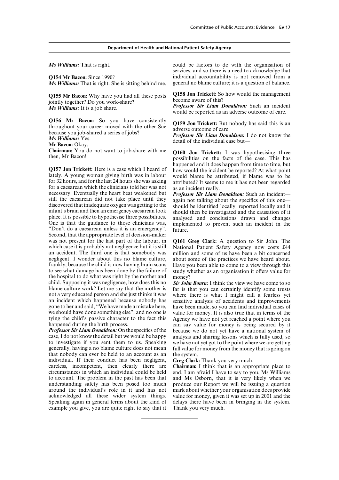$\overline{Ms}$  *Williams:* That is right. She is sitting behind me.

jointly together? Do you work-share?

**Q156 Mr Bacon:** So you have consistently **Q159 Jon Trickett:** But nobody has said this is an throughout your career moved with the other Sue adverse outcome of care.<br> **Mr Williams:** Yes. **Mr Bacon:** Okay. **Mr Bacon:** Okay

**Q157 Jon Trickett:** Here is a case which I heard of happened and it does happen from time to time, but<br>lately. A young woman giving birth was in labour would the incident be reported? At what point<br>for 32 hours, and for t still the caesarean did not take place until they<br>discovered that inadequate oxygen was getting to the<br>infant's brain and then an emergency caesarean took<br>place. It is possible to hypothesise three possibilities.<br>One is th Second, that the appropriate level of decision-maker was not present for the last part of the labour, in **Q161 Greg Clark:** A question to Sir John. The which case it is probably not negligence but it is still National Patient Safety Agency now costs £44 which case it is probably not negligence but it is still National Patient Safety Agency now costs £44 an accident. The third one is that somebody was million and some of us have been a bit concerned negligent. I wonder about this no blame culture, frankly, because the child is now having brain scans to see what damage has been done by the failure of study whether as an organisation it offers value for the hospital to do what was right by the mother and money?<br>child. Supposing it was negligence, how does this no **Sir John** child. Supposing it was negligence, how does this no *Sir John Bourn:* I think the view we have come to so blame culture work? Let me say that the mother is far is that you can certainly identify some trusts blame culture work? Let me say that the mother is far is that you can certainly identify some trusts not a very educated person and she just thinks it was where there is what I might call a fearless vet not a very educated person and she just thinks it was where there is what I might call a fearless yet an incident which happened because nobody has sensitive analysis of accidents and improvements an incident which happened because nobody has sensitive analysis of accidents and improvements gone to her and said, "We have made a mistake here, have been made, so you can find individual cases of gone to her and said, "We have made a mistake here, have been made, so you can find individual cases of we should have done something else", and no one is value for money. It is also true that in terms of the we should have done something else", and no one is value for money. It is also true that in terms of the tying the child's passive character to the fact this Agency we have not vertured a point where you tying the child's passive character to the fact this Agency we have not yet reached a point where you happened during the birth process.

*Professor Sir Liam Donaldson:* On the specifics of the because we do not yet have a national system of case, I do not know the detail but we would be happy analysis and sharing lessons which is fully used, so case, I do not know the detail but we would be happy analysis and sharing lessons which is fully used, so to investigate if you sent them to us. Speaking we have not vet got to the point where we are getting generally, having a no blame culture does not mean that nobody can ever be held to an account as an the system. individual. If their conduct has been negligent, **Greg Clark:** Thank you very much. careless, incompetent, then clearly there are **Chairman:** I think that is an appropriate place to circumstances in which an individual could be held end. I am afraid I have to say to you, Ms Williams to account. The problem in the past has been that and Ms Osborn, that it is very likely when we understanding safety has been posed too much around the individual's role in it and has not acknowledged all these wider system things. value for money, given it was set up in 2001 and the Speaking again in general terms about the kind of delays there have been in bringing in the system. example you give, you are quite right to say that it

*Ms Williams:* That is right. could be factors to do with the organisation of services, and so there is a need to acknowledge that **Q154 Mr Bacon:** Since 1990? individual accountability is not removed from a *Ms Williams:* That is right. She is sitting behind me. general no blame culture; it is a question of balance.

**Q155 Mr Bacon:** Why have you had all these posts **Q158 Jon Trickett:** So how would the management initially together?

*Professor Sir Liam Donaldson:* Such an incident *Ms Williams:* It is a job share. **Professor Sir Liam Donaldson:** Such an incident would be reported as an adverse outcome of care.

**Chairman:** You do not want to job-share with me **Q160 Jon Trickett:** I was hypothesising three then, Mr Bacon!

million and some of us have been a bit concerned about some of the practices we have heard about. Have you been able to come to a view through this

happened during the birth process.<br> *Professor Sir Liam Donaldson:* On the specifics of the because we do not vet have a national system of we have not yet got to the point where we are getting full value for money from the money that is going on

and Ms Osborn, that it is very likely when we produce our Report we will be issuing a question mark about whether your organisation does provide delays there have been in bringing in the system.<br>Thank you very much.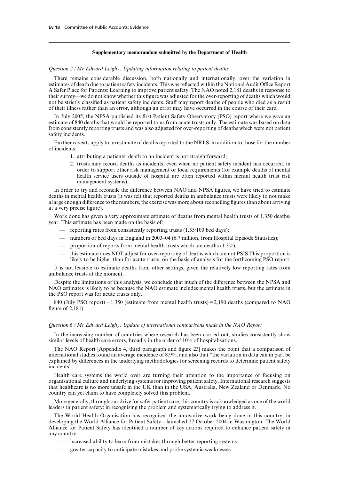#### **Supplementary memorandum submitted by the Department of Health**

*Question 2 (Mr Edward Leigh): Updating information relating to patient deaths*

There remains considerable discussion, both nationally and internationally, over the variation in estimates of death due to patient safety incidents. This was reflected within the National Audit Office Report A Safer Place for Patients: Learning to improve patient safety. The NAO noted 2,181 deaths in response to their survey—we do not know whether this figure was adjusted for the over-reporting of deaths which would not be strictly classified as patient safety incidents. Staff may report deaths of people who died as a result of their illness rather than an error, although an error may have occurred in the course of their care.

In July 2005, the NPSA published its first Patient Safety Observatory (PSO) report where we gave an estimate of 840 deaths that would be reported to us from acute trusts only. The estimate was based on data from consistently reporting trusts and was also adjusted for over-reporting of deaths which were not patient safety incidents.

Further caveats apply to an estimate of deaths reported to the NRLS, in addition to those for the number of incidents:

- 1. attributing a patients' death to an incident is not straightforward;
- 2. trusts may record deaths as incidents, even when no patient safety incident has occurred, in order to support other risk management or local requirements (for example deaths of mental health service users outside of hospital are often reported within mental health trust risk management systems).

In order to try and reconcile the difference between NAO and NPSA figures, we have tried to estimate deaths in mental health trusts (it was felt that reported deaths in ambulance trusts were likely to not make a large enough difference to the numbers, the exercise was more about reconciling figures than about arriving at a very precise figure).

Work done has given a very approximate estimate of deaths from mental health trusts of 1,350 deaths/ year. This estimate has been made on the basis of:

- reporting rates from consistently reporting trusts (1.55/100 bed days);
- numbers of bed days in England in 2003–04 (6.7 million, from Hospital Episode Statistics);
- proportion of reports from mental health trusts which are deaths  $(1.3\%)$ ;
- this estimate does NOT adjust for over-reporting of deaths which are not PSIS This proportion is likely to be higher than for acute trusts, on the basis of analysis for the forthcoming PSO report.

It is not feasible to estimate deaths from other settings, given the relatively low reporting rates from ambulance trusts at the moment.

Despite the limitations of this analysis, we conclude that much of the difference between the NPSA and NAO estimates is likely to be because the NAO estimate includes mental health trusts, but the estimate in the PSO report was for acute trusts only.

840 (July PSO report)  $+1,350$  (estimate from mental health trusts) = 2,190 deaths (compared to NAO figure of 2,181).

#### *Question 6 (Mr Edward Leigh): Update of international comparisons made in the NAO Report*

In the increasing number of countries where research has been carried out, studies consistently show similar levels of health care errors, broadly in the order of 10% of hospitalisations.

The NAO Report [Appendix 4, third paragraph and figure 23] makes the point that a comparison of international studies found an average incidence of 8.9%, and also that "the variation in data can in part be explained by differences in the underlying methodologies for screening records to determine patient safety incidents".

Health care systems the world over are turning their attention to the importance of focusing on organisational culture and underlying systems for improving patient safety. International research suggests that healthcare is no more unsafe in the UK than in the USA, Australia, New Zealand or Denmark. No country can yet claim to have completely solved this problem.

More generally, through our drive for safer patient care, this country is acknowledged as one of the world leaders in patient safety: in recognising the problem and systematically trying to address it.

The World Health Organisation has recognised the innovative work being done in this country, in developing the World Alliance for Patient Safety—launched 27 October 2004 in Washington. The World Alliance for Patient Safety has identified a number of key actions required to enhance patient safety in any country:

- increased ability to learn from mistakes through better reporting systems
- greater capacity to anticipate mistakes and probe systemic weaknesses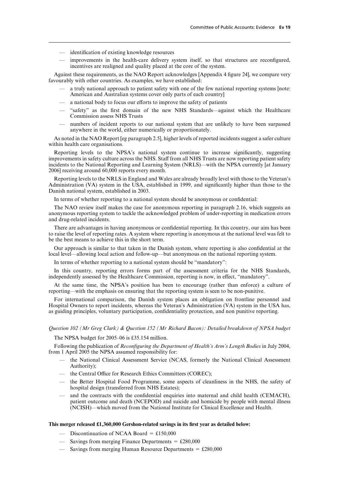- identification of existing knowledge resources
- improvements in the health-care delivery system itself, so that structures are reconfigured, incentives are realigned and quality placed at the core of the system.

Against these requirements, as the NAO Report acknowledges [Appendix 4 figure 24], we compare very favourably with other countries. As examples, we have established:

- a truly national approach to patient safety with one of the few national reporting systems [note: American and Australian systems cover only parts of each country]
- $-$  a national body to focus our efforts to improve the safety of patients
- "safety" as the first domain of the new NHS Standards—against which the Healthcare Commission assess NHS Trusts
- numbers of incident reports to our national system that are unlikely to have been surpassed anywhere in the world, either numerically or proportionately.

As noted in the NAO Report [eg paragraph 2.5], higher levels of reported incidents suggest a safer culture within health care organisations.

Reporting levels to the NPSA's national system continue to increase significantly, suggesting improvements in safety culture across the NHS. Staff from all NHS Trusts are now reporting patient safety incidents to the National Reporting and Learning System (NRLS)—with the NPSA currently [at January 2006] receiving around 60,000 reports every month.

Reporting levels to the NRLS in England and Wales are already broadly level with those to the Veteran's Administration (VA) system in the USA, established in 1999, and significantly higher than those to the Danish national system, established in 2003.

In terms of whether reporting to a national system should be anonymous or confidential:

The NAO review itself makes the case for anonymous reporting in paragraph 2.16, which suggests an anonymous reporting system to tackle the acknowledged problem of under-reporting in medication errors and drug-related incidents.

There are advantages in having anonymous or confidential reporting. In this country, our aim has been to raise the level of reporting rates. A system where reporting is anonymous at the national level was felt to be the best means to achieve this in the short term.

Our approach is similar to that taken in the Danish system, where reporting is also confidential at the local level—allowing local action and follow-up—but anonymous on the national reporting system.

In terms of whether reporting to a national system should be "mandatory":

In this country, reporting errors forms part of the assessment criteria for the NHS Standards, independently assessed by the Healthcare Commission, reporting is now, in effect, "mandatory".

At the same time, the NPSA's position has been to encourage (rather than enforce) a culture of reporting—with the emphasis on ensuring that the reporting system is seen to be non-punitive.

For international comparison, the Danish system places an obligation on frontline personnel and Hospital Owners to report incidents, whereas the Veteran's Administration (VA) system in the USA has, as guiding principles, voluntary participation, confidentiality protection, and non punitive reporting.

### *Question 102 (Mr Greg Clark) & Question 152 (Mr Richard Bacon): Detailed breakdown of NPSA budget*

The NPSA budget for 2005–06 is £35.154 million.

Following the publication of *Reconfiguring the Department of Health's Arm's Length Bodies* in July 2004, from 1 April 2005 the NPSA assumed responsibility for:

- the National Clinical Assessment Service (NCAS, formerly the National Clinical Assessment Authority);
- the Central Office for Research Ethics Committees (COREC);
- the Better Hospital Food Programme, some aspects of cleanliness in the NHS, the safety of hospital design (transferred from NHS Estates);
- and the contracts with the confidential enquiries into maternal and child health (CEMACH), patient outcome and death (NCEPOD) and suicide and homicide by people with mental illness (NCISH)—which moved from the National Institute for Clinical Excellence and Health.

#### **This merger released £1,360,000 Gershon-related savings in its first year as detailed below:**

- Discontinuation of NCAA Board =  $£150,000$
- Savings from merging Finance Departments  $=$  £280,000
- Savings from merging Human Resource Departments  $= \pounds 280,000$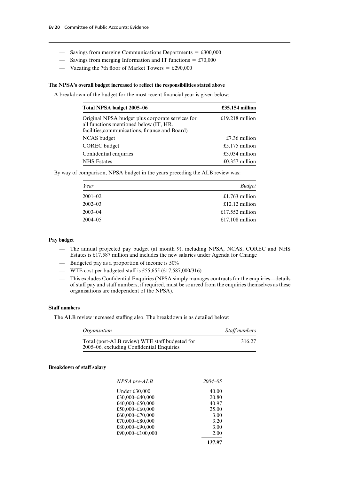- Savings from merging Communications Departments  $= \pounds 300,000$
- Savings from merging Information and IT functions  $= \text{\textsterling}70,000$
- Vacating the 7th floor of Market Towers =  $£290,000$

#### **The NPSA's overall budget increased to reflect the responsibilities stated above**

A breakdown of the budget for the most recent financial year is given below:

| Total NPSA budget 2005–06                                                                                                                    | $£35.154$ million |
|----------------------------------------------------------------------------------------------------------------------------------------------|-------------------|
| Original NPSA budget plus corporate services for<br>all functions mentioned below (IT, HR,<br>facilities, communications, finance and Board) | £19.218 million   |
| NCAS budget                                                                                                                                  | £7.36 million     |
| <b>COREC</b> budget                                                                                                                          | £5.175 million    |
| Confidential enquiries                                                                                                                       | £3.034 million    |
| <b>NHS</b> Estates                                                                                                                           | $£0.357$ million  |

By way of comparison, NPSA budget in the years preceding the ALB review was:

| Year        | <b>Budget</b>   |
|-------------|-----------------|
| $2001 - 02$ | £1.763 million  |
| $2002 - 03$ | £12.12 million  |
| $2003 - 04$ | £17.552 million |
| $2004 - 05$ | £17.108 million |

### **Pay budget**

- The annual projected pay budget (at month 9), including NPSA, NCAS, COREC and NHS Estates is £17.587 million and includes the new salaries under Agenda for Change
- Budgeted pay as a proportion of income is 50%
- WTE cost per budgeted staff is £55,655 (£17,587,000/316)
- This excludes Confidential Enquiries (NPSA simply manages contracts for the enquiries—details of staff pay and staff numbers, if required, must be sourced from the enquiries themselves as these organisations are independent of the NPSA).

#### **Staff** numbers

The ALB review increased staffing also. The breakdown is as detailed below:

| <i><b>Organisation</b></i>                                                                  | Staff numbers |
|---------------------------------------------------------------------------------------------|---------------|
| Total (post-ALB review) WTE staff budgeted for<br>2005–06, excluding Confidential Enquiries | 316.27        |

#### **Breakdown of staff salary**

| NPSA pre-ALB     | $2004 - 05$ |
|------------------|-------------|
| Under £30,000    | 40.00       |
| £30,000-£40,000  | 20.80       |
| £40.000–£50.000  | 40.97       |
| £50.000–£60.000  | 25.00       |
| £60,000-£70,000  | 3.00        |
| £70,000–£80,000  | 3.20        |
| £80,000–£90,000  | 3.00        |
| £90,000-£100,000 | 2.00        |
|                  | 137.97      |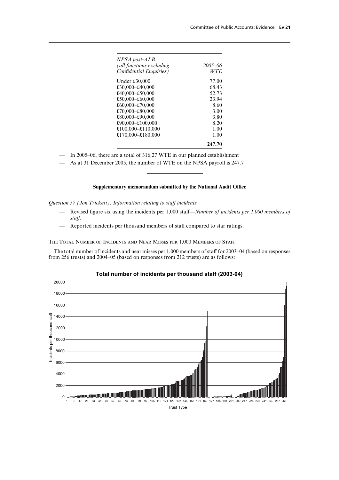| NPSA post-ALB            |             |
|--------------------------|-------------|
| (all functions excluding | $2005 - 06$ |
| Confidential Enquiries)  | WTE         |
| Under £30,000            | 77.00       |
| £30,000-£40,000          | 68.43       |
| £40,000-£50,000          | 52.73       |
| £50,000-£60,000          | 23.94       |
| £60,000-£70,000          | 8.60        |
| £70,000-£80,000          | 3.00        |
| £80,000-£90,000          | 3.80        |
| £90,000-£100,000         | 8.20        |
| £100,000-£110,000        | 1.00        |
| £170,000-£180,000        | 1.00        |
|                          | 247.70      |

— In 2005–06, there are a total of 316,27 WTE in our planned establishment

— As at 31 December 2005, the number of WTE on the NPSA payroll is 247.7

#### Supplementary memorandum submitted by the National Audit Office

*Question 57 (Jon Trickett): Information relating to staff incidents* 

- Revised figure six using the incidents per 1,000 staff—*Number of incidents per 1,000 members of staff.*
- Reported incidents per thousand members of staff compared to star ratings.

The Total Number of Incidents and Near Misses per 1,000 Members of Staff

The total number of incidents and near misses per 1,000 members of staff for 2003–04 (based on responses from 256 trusts) and 2004–05 (based on responses from 212 trusts) are as follows:



### **Total number of incidents per thousand staff (2003-04)**

Trust Type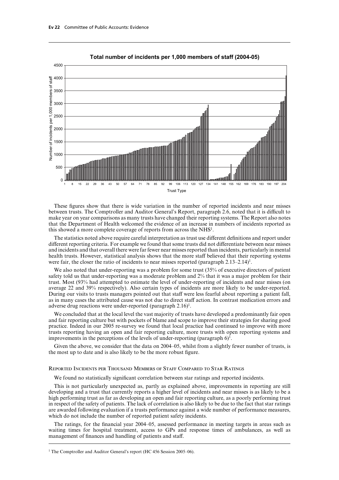

#### **Total number of incidents per 1,000 members of staff (2004-05)**

These figures show that there is wide variation in the number of reported incidents and near misses between trusts. The Comptroller and Auditor General's Report, paragraph 2.6, noted that it is difficult to make year on year comparisons as many trusts have changed their reporting systems. The Report also notes that the Department of Health welcomed the evidence of an increase in numbers of incidents reported as this showed a more complete coverage of reports from across the NHS<sup>1</sup>.

The statistics noted above require careful interpretation as trust use different definitions and report under different reporting criteria. For example we found that some trusts did not differentiate between near misses and incidents and that overall there were far fewer near misses reported than incidents, particularly in mental health trusts. However, statistical analysis shows that the more staff believed that their reporting systems were fair, the closer the ratio of incidents to near misses reported (paragraph 2.13–2.14)<sup>1</sup>.

We also noted that under-reporting was a problem for some trust (35% of executive directors of patient safety told us that under-reporting was a moderate problem and 2% that it was a major problem for their trust. Most (93% had attempted to estimate the level of under-reporting of incidents and near misses (on average 22 and 39% respectively). Also certain types of incidents are more likely to be under-reported. During our visits to trusts managers pointed out that staff were less fearful about reporting a patient fall, as in many cases the attributed cause was not due to direct staff action. In contrast medication errors and adverse drug reactions were under-reported (paragraph 2.16)<sup>1</sup>.

We concluded that at the local level the vast majority of trusts have developed a predominantly fair open and fair reporting culture but with pockets of blame and scope to improve their strategies for sharing good practice. Indeed in our 2005 re-survey we found that local practice had continued to improve with more trusts reporting having an open and fair reporting culture, more trusts with open reporting systems and improvements in the perceptions of the levels of under-reporting (paragraph  $6$ )<sup>1</sup>.

Given the above, we consider that the data on 2004–05, whilst from a slightly fewer number of trusts, is the most up to date and is also likely to be the more robust figure.

#### Reported Incidents per Thousand Members of Staff Compared to Star Ratings

We found no statistically significant correlation between star ratings and reported incidents.

This is not particularly unexpected as, partly as explained above, improvements in reporting are still developing and a trust that currently reports a higher level of incidents and near misses is as likely to be a high performing trust as far as developing an open and fair reporting culture, as a poorly performing trust in respect of the safety of patients. The lack of correlation is also likely to be due to the fact that star ratings are awarded following evaluation if a trusts performance against a wide number of performance measures, which do not include the number of reported patient safety incidents.

The ratings, for the financial year 2004–05, assessed performance in meeting targets in areas such as waiting times for hospital treatment, access to GPs and response times of ambulances, as well as management of finances and handling of patients and staff.